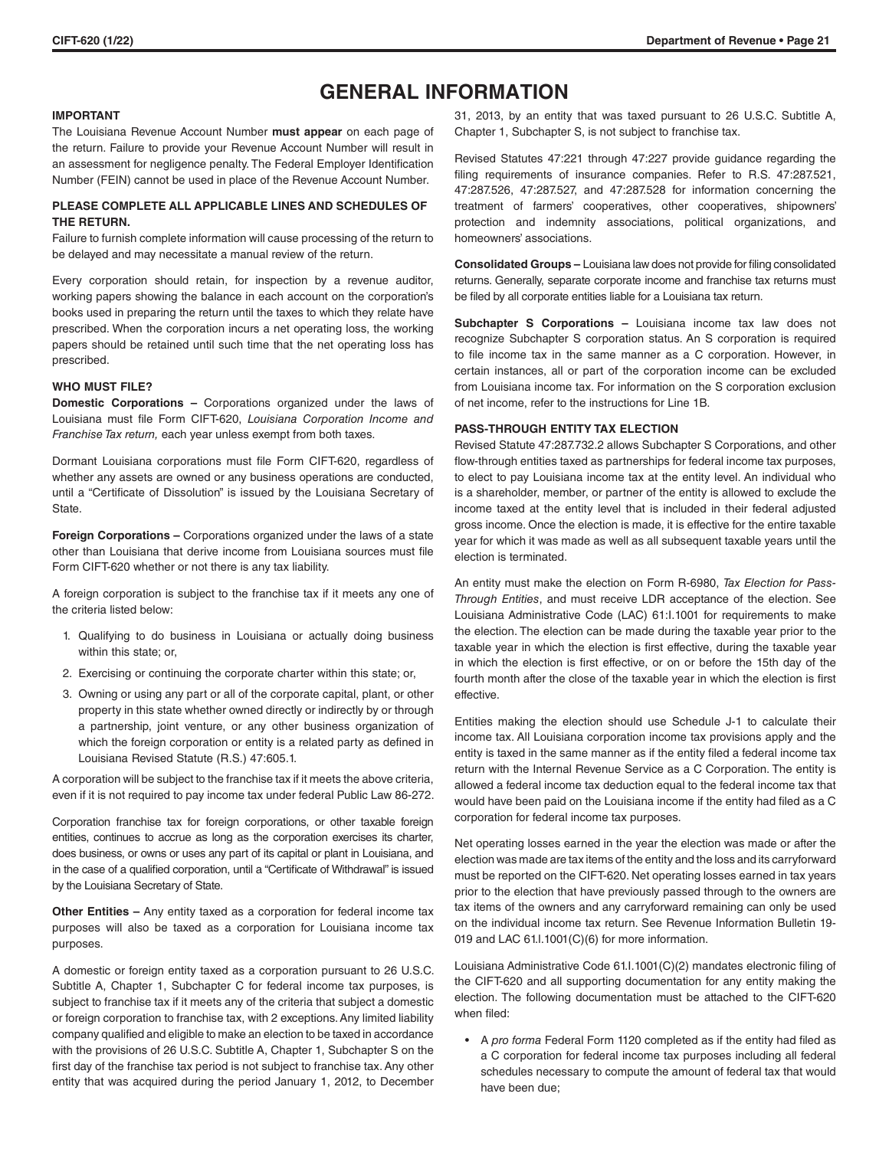# **GENERAL INFORMATION**

# **IMPORTANT**

The Louisiana Revenue Account Number **must appear** on each page of the return. Failure to provide your Revenue Account Number will result in an assessment for negligence penalty. The Federal Employer Identification Number (FEIN) cannot be used in place of the Revenue Account Number.

# **PLEASE COMPLETE ALL APPLICABLE LINES AND SCHEDULES OF THE RETURN.**

Failure to furnish complete information will cause processing of the return to be delayed and may necessitate a manual review of the return.

Every corporation should retain, for inspection by a revenue auditor, working papers showing the balance in each account on the corporation's books used in preparing the return until the taxes to which they relate have prescribed. When the corporation incurs a net operating loss, the working papers should be retained until such time that the net operating loss has prescribed.

## **WHO MUST FILE?**

**Domestic Corporations –** Corporations organized under the laws of Louisiana must file Form CIFT-620, *Louisiana Corporation Income and Franchise Tax return,* each year unless exempt from both taxes.

Dormant Louisiana corporations must file Form CIFT-620, regardless of whether any assets are owned or any business operations are conducted, until a "Certificate of Dissolution" is issued by the Louisiana Secretary of State.

**Foreign Corporations –** Corporations organized under the laws of a state other than Louisiana that derive income from Louisiana sources must file Form CIFT-620 whether or not there is any tax liability.

A foreign corporation is subject to the franchise tax if it meets any one of the criteria listed below:

- 1. Qualifying to do business in Louisiana or actually doing business within this state; or,
- 2. Exercising or continuing the corporate charter within this state; or,
- 3. Owning or using any part or all of the corporate capital, plant, or other property in this state whether owned directly or indirectly by or through a partnership, joint venture, or any other business organization of which the foreign corporation or entity is a related party as defined in Louisiana Revised Statute (R.S.) 47:605.1.

A corporation will be subject to the franchise tax if it meets the above criteria, even if it is not required to pay income tax under federal Public Law 86-272.

Corporation franchise tax for foreign corporations, or other taxable foreign entities, continues to accrue as long as the corporation exercises its charter, does business, or owns or uses any part of its capital or plant in Louisiana, and in the case of a qualified corporation, until a "Certificate of Withdrawal" is issued by the Louisiana Secretary of State.

**Other Entities –** Any entity taxed as a corporation for federal income tax purposes will also be taxed as a corporation for Louisiana income tax purposes.

A domestic or foreign entity taxed as a corporation pursuant to 26 U.S.C. Subtitle A, Chapter 1, Subchapter C for federal income tax purposes, is subject to franchise tax if it meets any of the criteria that subject a domestic or foreign corporation to franchise tax, with 2 exceptions. Any limited liability company qualified and eligible to make an election to be taxed in accordance with the provisions of 26 U.S.C. Subtitle A, Chapter 1, Subchapter S on the first day of the franchise tax period is not subject to franchise tax. Any other entity that was acquired during the period January 1, 2012, to December 31, 2013, by an entity that was taxed pursuant to 26 U.S.C. Subtitle A, Chapter 1, Subchapter S, is not subject to franchise tax.

Revised Statutes 47:221 through 47:227 provide guidance regarding the filing requirements of insurance companies. Refer to R.S. 47:287.521, 47:287.526, 47:287.527, and 47:287.528 for information concerning the treatment of farmers' cooperatives, other cooperatives, shipowners' protection and indemnity associations, political organizations, and homeowners' associations.

**Consolidated Groups –** Louisiana law does not provide for filing consolidated returns. Generally, separate corporate income and franchise tax returns must be filed by all corporate entities liable for a Louisiana tax return.

**Subchapter S Corporations –** Louisiana income tax law does not recognize Subchapter S corporation status. An S corporation is required to file income tax in the same manner as a C corporation. However, in certain instances, all or part of the corporation income can be excluded from Louisiana income tax. For information on the S corporation exclusion of net income, refer to the instructions for Line 1B.

# **PASS-THROUGH ENTITY TAX ELECTION**

Revised Statute 47:287.732.2 allows Subchapter S Corporations, and other flow-through entities taxed as partnerships for federal income tax purposes, to elect to pay Louisiana income tax at the entity level. An individual who is a shareholder, member, or partner of the entity is allowed to exclude the income taxed at the entity level that is included in their federal adjusted gross income. Once the election is made, it is effective for the entire taxable year for which it was made as well as all subsequent taxable years until the election is terminated.

An entity must make the election on Form R-6980, *Tax Election for Pass-Through Entities*, and must receive LDR acceptance of the election. See Louisiana Administrative Code (LAC) 61:I.1001 for requirements to make the election. The election can be made during the taxable year prior to the taxable year in which the election is first effective, during the taxable year in which the election is first effective, or on or before the 15th day of the fourth month after the close of the taxable year in which the election is first effective.

Entities making the election should use Schedule J-1 to calculate their income tax. All Louisiana corporation income tax provisions apply and the entity is taxed in the same manner as if the entity filed a federal income tax return with the Internal Revenue Service as a C Corporation. The entity is allowed a federal income tax deduction equal to the federal income tax that would have been paid on the Louisiana income if the entity had filed as a C corporation for federal income tax purposes.

Net operating losses earned in the year the election was made or after the election was made are tax items of the entity and the loss and its carryforward must be reported on the CIFT-620. Net operating losses earned in tax years prior to the election that have previously passed through to the owners are tax items of the owners and any carryforward remaining can only be used on the individual income tax return. See Revenue Information Bulletin 19- 019 and LAC 61.I.1001(C)(6) for more information.

Louisiana Administrative Code 61.I.1001(C)(2) mandates electronic filing of the CIFT-620 and all supporting documentation for any entity making the election. The following documentation must be attached to the CIFT-620 when filed:

• A *pro forma* Federal Form 1120 completed as if the entity had filed as a C corporation for federal income tax purposes including all federal schedules necessary to compute the amount of federal tax that would have been due;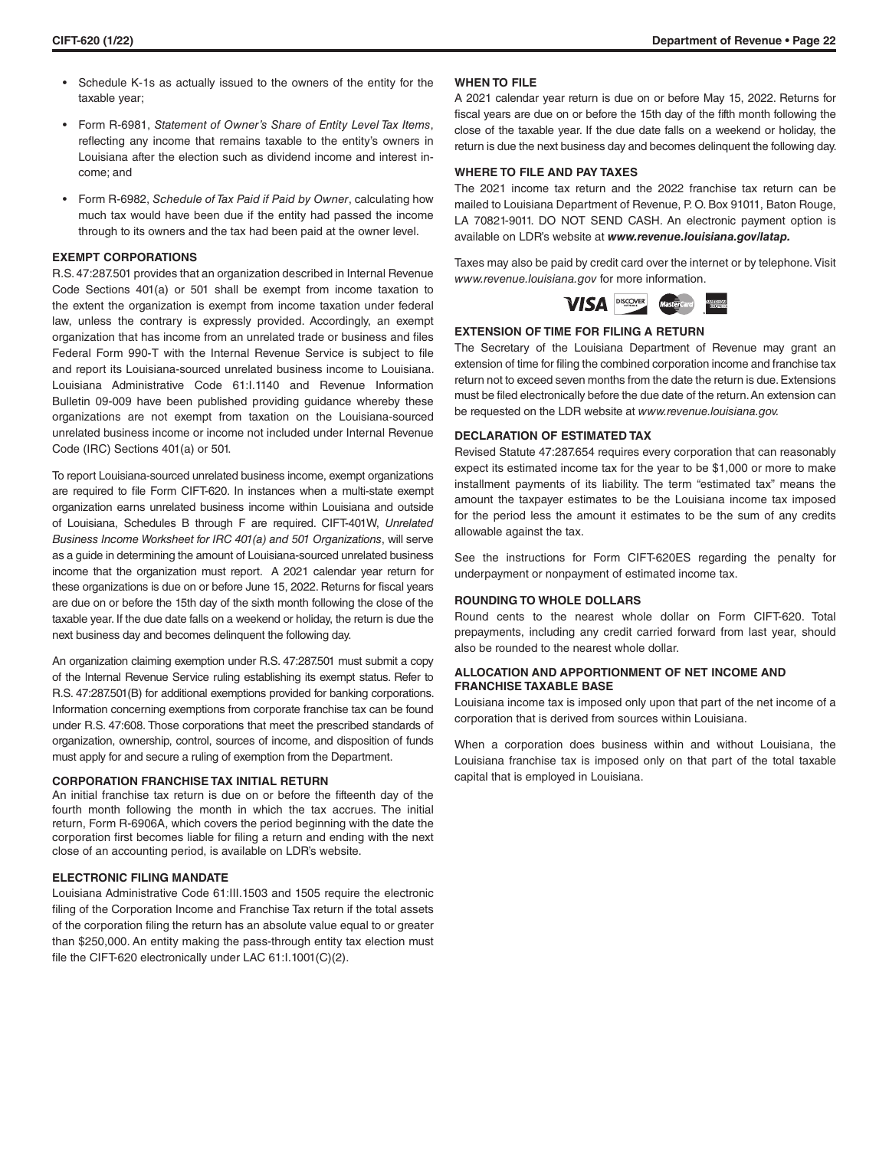- Schedule K-1s as actually issued to the owners of the entity for the taxable year;
- Form R-6981, *Statement of Owner's Share of Entity Level Tax Items*, reflecting any income that remains taxable to the entity's owners in Louisiana after the election such as dividend income and interest income; and
- Form R-6982, *Schedule of Tax Paid if Paid by Owner*, calculating how much tax would have been due if the entity had passed the income through to its owners and the tax had been paid at the owner level.

# **EXEMPT CORPORATIONS**

R.S. 47:287.501 provides that an organization described in Internal Revenue Code Sections 401(a) or 501 shall be exempt from income taxation to the extent the organization is exempt from income taxation under federal law, unless the contrary is expressly provided. Accordingly, an exempt organization that has income from an unrelated trade or business and files Federal Form 990-T with the Internal Revenue Service is subject to file and report its Louisiana-sourced unrelated business income to Louisiana. Louisiana Administrative Code 61:I.1140 and Revenue Information Bulletin 09-009 have been published providing guidance whereby these organizations are not exempt from taxation on the Louisiana-sourced unrelated business income or income not included under Internal Revenue Code (IRC) Sections 401(a) or 501.

To report Louisiana-sourced unrelated business income, exempt organizations are required to file Form CIFT-620. In instances when a multi-state exempt organization earns unrelated business income within Louisiana and outside of Louisiana, Schedules B through F are required. CIFT-401W, *Unrelated Business Income Worksheet for IRC 401(a) and 501 Organizations*, will serve as a guide in determining the amount of Louisiana-sourced unrelated business income that the organization must report. A 2021 calendar year return for these organizations is due on or before June 15, 2022. Returns for fiscal years are due on or before the 15th day of the sixth month following the close of the taxable year. If the due date falls on a weekend or holiday, the return is due the next business day and becomes delinquent the following day.

An organization claiming exemption under R.S. 47:287.501 must submit a copy of the Internal Revenue Service ruling establishing its exempt status. Refer to R.S. 47:287.501(B) for additional exemptions provided for banking corporations. Information concerning exemptions from corporate franchise tax can be found under R.S. 47:608. Those corporations that meet the prescribed standards of organization, ownership, control, sources of income, and disposition of funds must apply for and secure a ruling of exemption from the Department.

### **CORPORATION FRANCHISE TAX INITIAL RETURN**

An initial franchise tax return is due on or before the fifteenth day of the fourth month following the month in which the tax accrues. The initial return, Form R-6906A, which covers the period beginning with the date the corporation first becomes liable for filing a return and ending with the next close of an accounting period, is available on LDR's website.

# **ELECTRONIC FILING MANDATE**

Louisiana Administrative Code 61:III.1503 and 1505 require the electronic filing of the Corporation Income and Franchise Tax return if the total assets of the corporation filing the return has an absolute value equal to or greater than \$250,000. An entity making the pass-through entity tax election must file the CIFT-620 electronically under LAC 61:I.1001(C)(2).

## **WHEN TO FILE**

A 2021 calendar year return is due on or before May 15, 2022. Returns for fiscal years are due on or before the 15th day of the fifth month following the close of the taxable year. If the due date falls on a weekend or holiday, the return is due the next business day and becomes delinquent the following day.

# **WHERE TO FILE AND PAY TAXES**

The 2021 income tax return and the 2022 franchise tax return can be mailed to Louisiana Department of Revenue, P. O. Box 91011, Baton Rouge, LA 70821-9011. DO NOT SEND CASH. An electronic payment option is available on LDR's website at *www.revenue.louisiana.gov/latap.*

Taxes may also be paid by credit card over the internet or by telephone. Visit *www.revenue.louisiana.gov* for more information.



### **EXTENSION OF TIME FOR FILING A RETURN**

The Secretary of the Louisiana Department of Revenue may grant an extension of time for filing the combined corporation income and franchise tax return not to exceed seven months from the date the return is due. Extensions must be filed electronically before the due date of the return. An extension can be requested on the LDR website at *www.revenue.louisiana.gov.*

#### **DECLARATION OF ESTIMATED TAX**

Revised Statute 47:287.654 requires every corporation that can reasonably expect its estimated income tax for the year to be \$1,000 or more to make installment payments of its liability. The term "estimated tax" means the amount the taxpayer estimates to be the Louisiana income tax imposed for the period less the amount it estimates to be the sum of any credits allowable against the tax.

See the instructions for Form CIFT-620ES regarding the penalty for underpayment or nonpayment of estimated income tax.

### **ROUNDING TO WHOLE DOLLARS**

Round cents to the nearest whole dollar on Form CIFT-620. Total prepayments, including any credit carried forward from last year, should also be rounded to the nearest whole dollar.

# **ALLOCATION AND APPORTIONMENT OF NET INCOME AND FRANCHISE TAXABLE BASE**

Louisiana income tax is imposed only upon that part of the net income of a corporation that is derived from sources within Louisiana.

When a corporation does business within and without Louisiana, the Louisiana franchise tax is imposed only on that part of the total taxable capital that is employed in Louisiana.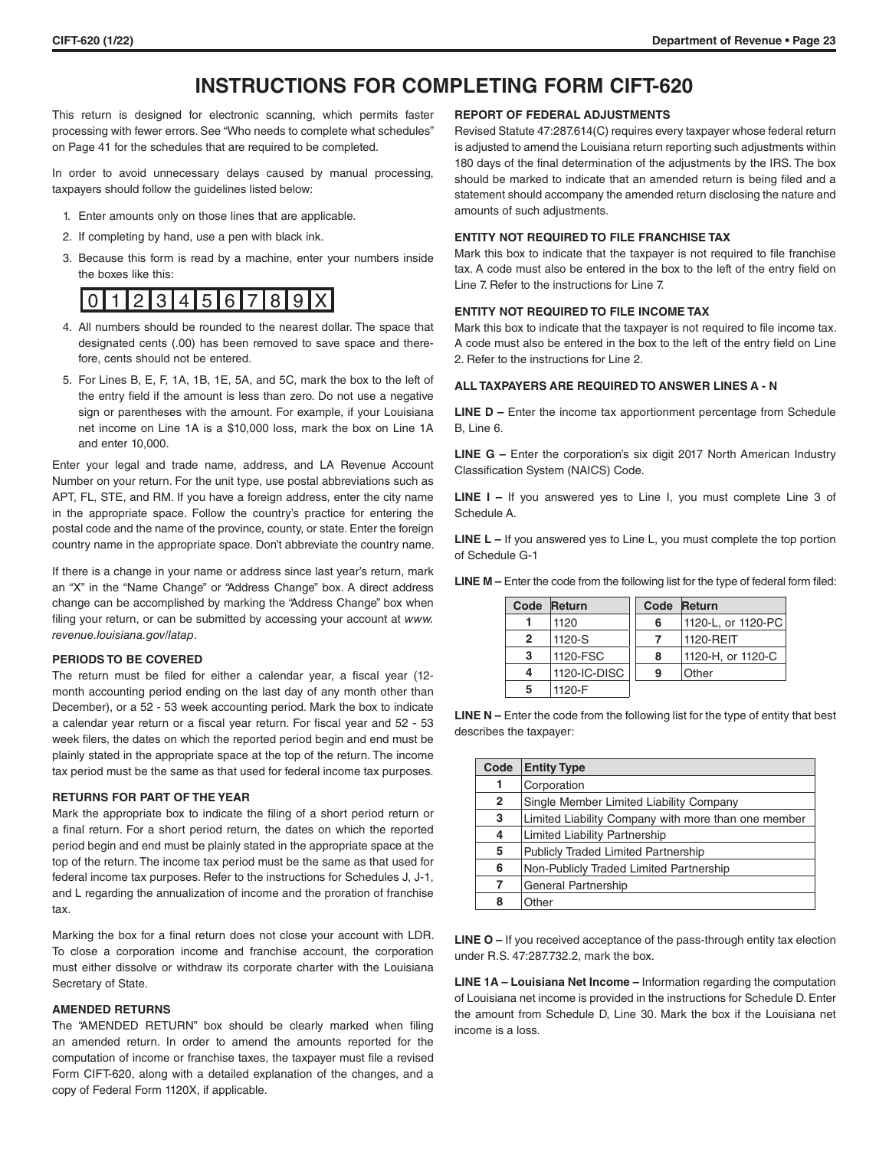# **INSTRUCTIONS FOR COMPLETING FORM CIFT-620**

This return is designed for electronic scanning, which permits faster processing with fewer errors. See "Who needs to complete what schedules" on Page 41 for the schedules that are required to be completed.

In order to avoid unnecessary delays caused by manual processing, taxpayers should follow the guidelines listed below:

- 1. Enter amounts only on those lines that are applicable.
- 2. If completing by hand, use a pen with black ink.
- 3. Because this form is read by a machine, enter your numbers inside the boxes like this:

# 0 1 2 3 4 5 6 7 8 9 X

- 4. All numbers should be rounded to the nearest dollar. The space that designated cents (.00) has been removed to save space and therefore, cents should not be entered.
- 5. For Lines B, E, F, 1A, 1B, 1E, 5A, and 5C, mark the box to the left of the entry field if the amount is less than zero. Do not use a negative sign or parentheses with the amount. For example, if your Louisiana net income on Line 1A is a \$10,000 loss, mark the box on Line 1A and enter 10,000.

Enter your legal and trade name, address, and LA Revenue Account Number on your return. For the unit type, use postal abbreviations such as APT, FL, STE, and RM. If you have a foreign address, enter the city name in the appropriate space. Follow the country's practice for entering the postal code and the name of the province, county, or state. Enter the foreign country name in the appropriate space. Don't abbreviate the country name.

If there is a change in your name or address since last year's return, mark an "X" in the "Name Change" or "Address Change" box. A direct address change can be accomplished by marking the "Address Change" box when filing your return, or can be submitted by accessing your account at *www. revenue.louisiana.gov/latap*.

## **PERIODS TO BE COVERED**

The return must be filed for either a calendar year, a fiscal year (12 month accounting period ending on the last day of any month other than December), or a 52 - 53 week accounting period. Mark the box to indicate a calendar year return or a fiscal year return. For fiscal year and 52 - 53 week filers, the dates on which the reported period begin and end must be plainly stated in the appropriate space at the top of the return. The income tax period must be the same as that used for federal income tax purposes.

# **RETURNS FOR PART OF THE YEAR**

Mark the appropriate box to indicate the filing of a short period return or a final return. For a short period return, the dates on which the reported period begin and end must be plainly stated in the appropriate space at the top of the return. The income tax period must be the same as that used for federal income tax purposes. Refer to the instructions for Schedules J, J-1, and L regarding the annualization of income and the proration of franchise tax.

Marking the box for a final return does not close your account with LDR. To close a corporation income and franchise account, the corporation must either dissolve or withdraw its corporate charter with the Louisiana Secretary of State.

# **AMENDED RETURNS**

The "AMENDED RETURN" box should be clearly marked when filing an amended return. In order to amend the amounts reported for the computation of income or franchise taxes, the taxpayer must file a revised Form CIFT-620, along with a detailed explanation of the changes, and a copy of Federal Form 1120X, if applicable.

## **REPORT OF FEDERAL ADJUSTMENTS**

Revised Statute 47:287.614(C) requires every taxpayer whose federal return is adjusted to amend the Louisiana return reporting such adjustments within 180 days of the final determination of the adjustments by the IRS. The box should be marked to indicate that an amended return is being filed and a statement should accompany the amended return disclosing the nature and amounts of such adjustments.

# **ENTITY NOT REQUIRED TO FILE FRANCHISE TAX**

Mark this box to indicate that the taxpayer is not required to file franchise tax. A code must also be entered in the box to the left of the entry field on Line 7. Refer to the instructions for Line 7.

# **ENTITY NOT REQUIRED TO FILE INCOME TAX**

Mark this box to indicate that the taxpayer is not required to file income tax. A code must also be entered in the box to the left of the entry field on Line 2. Refer to the instructions for Line 2.

# **ALL TAXPAYERS ARE REQUIRED TO ANSWER LINES A - N**

**LINE D - Enter the income tax apportionment percentage from Schedule** B, Line 6.

**LINE G –** Enter the corporation's six digit 2017 North American Industry Classification System (NAICS) Code.

**LINE I –** If you answered yes to Line I, you must complete Line 3 of Schedule A.

**LINE L –** If you answered yes to Line L, you must complete the top portion of Schedule G-1

| <b>LINE M</b> – Enter the code from the following list for the type of federal form filed: |  |
|--------------------------------------------------------------------------------------------|--|
|--------------------------------------------------------------------------------------------|--|

| Code           | <b>Return</b> | Code | Return             |
|----------------|---------------|------|--------------------|
|                | 1120          | 6    | 1120-L, or 1120-PC |
| $\overline{2}$ | 1120-S        |      | 1120-REIT          |
| 3              | 1120-FSC      | 8    | 1120-H, or 1120-C  |
| 4              | 1120-IC-DISC  | 9    | Other              |
| 5              | 1120-F        |      |                    |

**LINE N** – Enter the code from the following list for the type of entity that best describes the taxpayer:

| Code         | <b>Entity Type</b>                                  |
|--------------|-----------------------------------------------------|
| 1            | Corporation                                         |
| $\mathbf{2}$ | Single Member Limited Liability Company             |
| 3            | Limited Liability Company with more than one member |
| 4            | Limited Liability Partnership                       |
| 5            | <b>Publicly Traded Limited Partnership</b>          |
| 6            | Non-Publicly Traded Limited Partnership             |
| 7            | <b>General Partnership</b>                          |
| 8            | Other                                               |

**LINE O –** If you received acceptance of the pass-through entity tax election under R.S. 47:287.732.2, mark the box.

**LINE 1A – Louisiana Net Income –** Information regarding the computation of Louisiana net income is provided in the instructions for Schedule D. Enter the amount from Schedule D, Line 30. Mark the box if the Louisiana net income is a loss.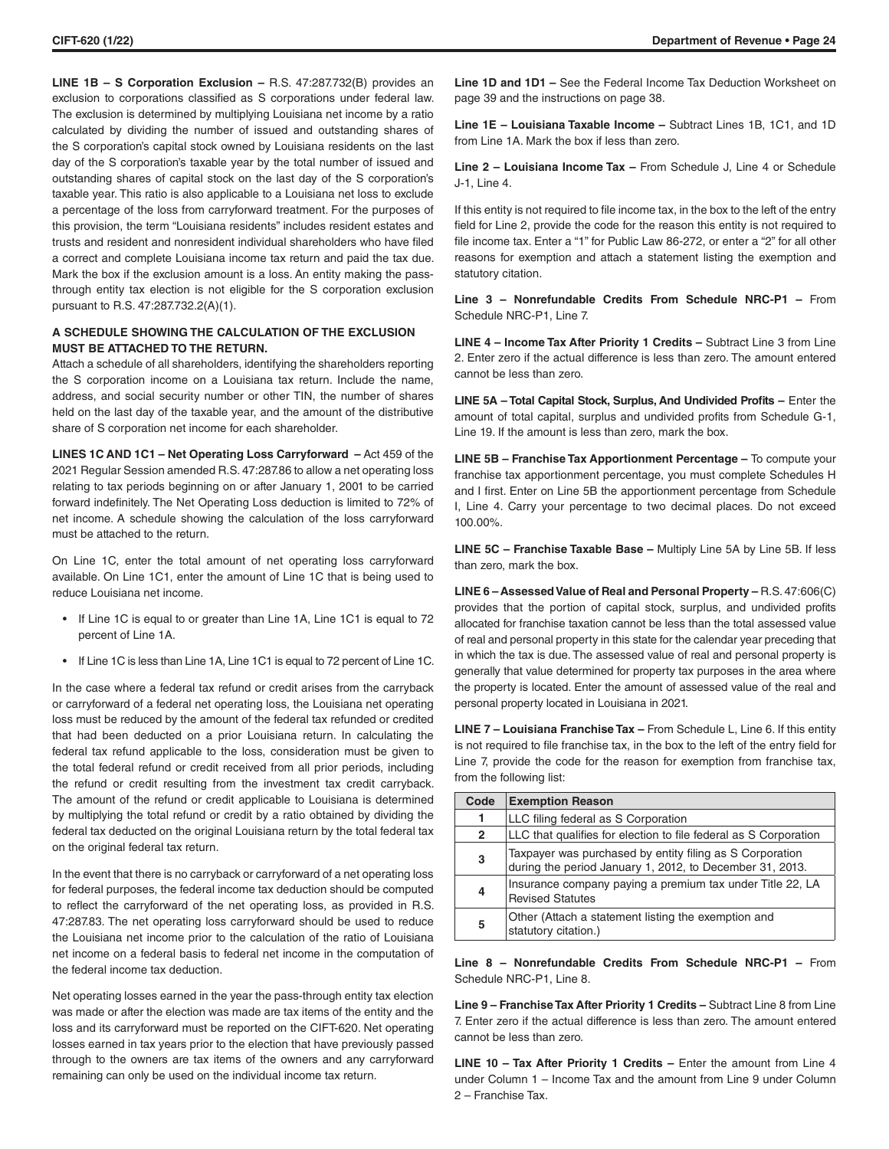**LINE 1B – S Corporation Exclusion –** R.S. 47:287.732(B) provides an exclusion to corporations classified as S corporations under federal law. The exclusion is determined by multiplying Louisiana net income by a ratio calculated by dividing the number of issued and outstanding shares of the S corporation's capital stock owned by Louisiana residents on the last day of the S corporation's taxable year by the total number of issued and outstanding shares of capital stock on the last day of the S corporation's taxable year. This ratio is also applicable to a Louisiana net loss to exclude a percentage of the loss from carryforward treatment. For the purposes of this provision, the term "Louisiana residents" includes resident estates and trusts and resident and nonresident individual shareholders who have filed a correct and complete Louisiana income tax return and paid the tax due. Mark the box if the exclusion amount is a loss. An entity making the passthrough entity tax election is not eligible for the S corporation exclusion pursuant to R.S. 47:287.732.2(A)(1).

# **A SCHEDULE SHOWING THE CALCULATION OF THE EXCLUSION MUST BE ATTACHED TO THE RETURN.**

Attach a schedule of all shareholders, identifying the shareholders reporting the S corporation income on a Louisiana tax return. Include the name, address, and social security number or other TIN, the number of shares held on the last day of the taxable year, and the amount of the distributive share of S corporation net income for each shareholder.

**LINES 1C AND 1C1 – Net Operating Loss Carryforward –** Act 459 of the 2021 Regular Session amended R.S. 47:287.86 to allow a net operating loss relating to tax periods beginning on or after January 1, 2001 to be carried forward indefinitely. The Net Operating Loss deduction is limited to 72% of net income. A schedule showing the calculation of the loss carryforward must be attached to the return.

On Line 1C, enter the total amount of net operating loss carryforward available. On Line 1C1, enter the amount of Line 1C that is being used to reduce Louisiana net income.

- If Line 1C is equal to or greater than Line 1A, Line 1C1 is equal to 72 percent of Line 1A.
- If Line 1C is less than Line 1A, Line 1C1 is equal to 72 percent of Line 1C.

In the case where a federal tax refund or credit arises from the carryback or carryforward of a federal net operating loss, the Louisiana net operating loss must be reduced by the amount of the federal tax refunded or credited that had been deducted on a prior Louisiana return. In calculating the federal tax refund applicable to the loss, consideration must be given to the total federal refund or credit received from all prior periods, including the refund or credit resulting from the investment tax credit carryback. The amount of the refund or credit applicable to Louisiana is determined by multiplying the total refund or credit by a ratio obtained by dividing the federal tax deducted on the original Louisiana return by the total federal tax on the original federal tax return.

In the event that there is no carryback or carryforward of a net operating loss for federal purposes, the federal income tax deduction should be computed to reflect the carryforward of the net operating loss, as provided in R.S. 47:287.83. The net operating loss carryforward should be used to reduce the Louisiana net income prior to the calculation of the ratio of Louisiana net income on a federal basis to federal net income in the computation of the federal income tax deduction.

Net operating losses earned in the year the pass-through entity tax election was made or after the election was made are tax items of the entity and the loss and its carryforward must be reported on the CIFT-620. Net operating losses earned in tax years prior to the election that have previously passed through to the owners are tax items of the owners and any carryforward remaining can only be used on the individual income tax return.

**Line 1D and 1D1 –** See the Federal Income Tax Deduction Worksheet on page 39 and the instructions on page 38.

**Line 1E – Louisiana Taxable Income –** Subtract Lines 1B, 1C1, and 1D from Line 1A. Mark the box if less than zero.

**Line 2 – Louisiana Income Tax –** From Schedule J, Line 4 or Schedule J-1, Line 4.

If this entity is not required to file income tax, in the box to the left of the entry field for Line 2, provide the code for the reason this entity is not required to file income tax. Enter a "1" for Public Law 86-272, or enter a "2" for all other reasons for exemption and attach a statement listing the exemption and statutory citation.

**Line 3 – Nonrefundable Credits From Schedule NRC-P1 –** From Schedule NRC-P1, Line 7.

**LINE 4 – Income Tax After Priority 1 Credits – Subtract Line 3 from Line** 2. Enter zero if the actual difference is less than zero. The amount entered cannot be less than zero.

**LINE 5A - Total Capital Stock, Surplus, And Undivided Profits - Enter the** amount of total capital, surplus and undivided profits from Schedule G-1, Line 19. If the amount is less than zero, mark the box.

**LINE 5B – Franchise Tax Apportionment Percentage –** To compute your franchise tax apportionment percentage, you must complete Schedules H and I first. Enter on Line 5B the apportionment percentage from Schedule I, Line 4. Carry your percentage to two decimal places. Do not exceed 100.00%.

**LINE 5C – Franchise Taxable Base –** Multiply Line 5A by Line 5B. If less than zero, mark the box.

**LINE 6 – Assessed Value of Real and Personal Property –** R.S. 47:606(C) provides that the portion of capital stock, surplus, and undivided profits allocated for franchise taxation cannot be less than the total assessed value of real and personal property in this state for the calendar year preceding that in which the tax is due. The assessed value of real and personal property is generally that value determined for property tax purposes in the area where the property is located. Enter the amount of assessed value of the real and personal property located in Louisiana in 2021.

**LINE 7 – Louisiana Franchise Tax –** From Schedule L, Line 6. If this entity is not required to file franchise tax, in the box to the left of the entry field for Line 7, provide the code for the reason for exemption from franchise tax, from the following list:

| Code         | <b>Exemption Reason</b>                                                                                              |
|--------------|----------------------------------------------------------------------------------------------------------------------|
| 1            | LLC filing federal as S Corporation                                                                                  |
| $\mathbf{2}$ | LLC that qualifies for election to file federal as S Corporation                                                     |
| 3            | Taxpayer was purchased by entity filing as S Corporation<br>during the period January 1, 2012, to December 31, 2013. |
| 4            | Insurance company paying a premium tax under Title 22, LA<br><b>Revised Statutes</b>                                 |
| 5            | Other (Attach a statement listing the exemption and<br>statutory citation.)                                          |

**Line 8 – Nonrefundable Credits From Schedule NRC-P1 –** From Schedule NRC-P1, Line 8.

**Line 9 – Franchise Tax After Priority 1 Credits –** Subtract Line 8 from Line 7. Enter zero if the actual difference is less than zero. The amount entered cannot be less than zero.

**LINE 10 – Tax After Priority 1 Credits – Enter the amount from Line 4** under Column 1 – Income Tax and the amount from Line 9 under Column 2 – Franchise Tax.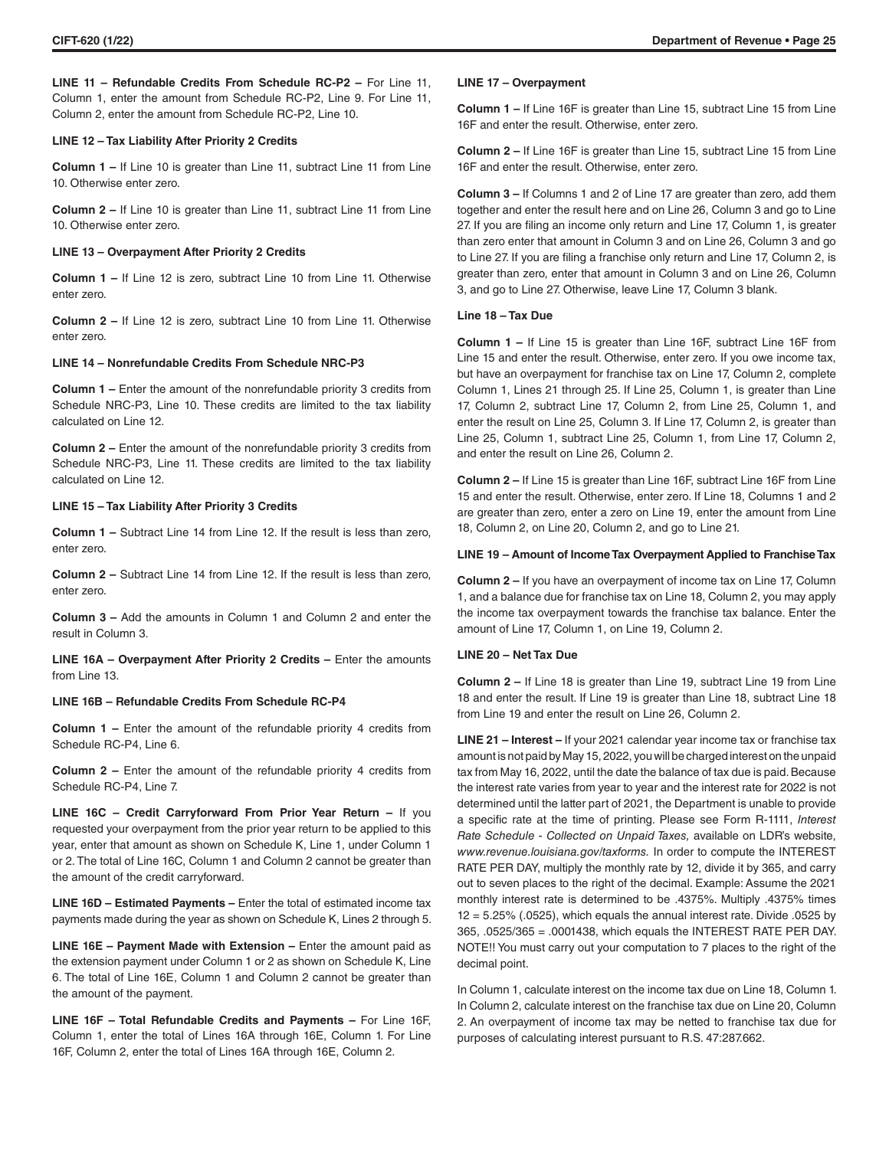**LINE 11 – Refundable Credits From Schedule RC-P2 –** For Line 11, Column 1, enter the amount from Schedule RC-P2, Line 9. For Line 11, Column 2, enter the amount from Schedule RC-P2, Line 10.

# **LINE 12 – Tax Liability After Priority 2 Credits**

**Column 1 –** If Line 10 is greater than Line 11, subtract Line 11 from Line 10. Otherwise enter zero.

**Column 2 –** If Line 10 is greater than Line 11, subtract Line 11 from Line 10. Otherwise enter zero.

## **LINE 13 – Overpayment After Priority 2 Credits**

**Column 1 –** If Line 12 is zero, subtract Line 10 from Line 11. Otherwise enter zero.

**Column 2 –** If Line 12 is zero, subtract Line 10 from Line 11. Otherwise enter zero.

# **LINE 14 – Nonrefundable Credits From Schedule NRC-P3**

**Column 1 –** Enter the amount of the nonrefundable priority 3 credits from Schedule NRC-P3, Line 10. These credits are limited to the tax liability calculated on Line 12.

**Column 2 –** Enter the amount of the nonrefundable priority 3 credits from Schedule NRC-P3, Line 11. These credits are limited to the tax liability calculated on Line 12.

# **LINE 15 – Tax Liability After Priority 3 Credits**

**Column 1 –** Subtract Line 14 from Line 12. If the result is less than zero, enter zero.

**Column 2 –** Subtract Line 14 from Line 12. If the result is less than zero, enter zero.

**Column 3 –** Add the amounts in Column 1 and Column 2 and enter the result in Column 3.

**LINE 16A – Overpayment After Priority 2 Credits – Enter the amounts** from Line 13.

# **LINE 16B – Refundable Credits From Schedule RC-P4**

**Column 1 –** Enter the amount of the refundable priority 4 credits from Schedule RC-P4, Line 6.

**Column 2 –** Enter the amount of the refundable priority 4 credits from Schedule RC-P4, Line 7.

**LINE 16C – Credit Carryforward From Prior Year Return –** If you requested your overpayment from the prior year return to be applied to this year, enter that amount as shown on Schedule K, Line 1, under Column 1 or 2. The total of Line 16C, Column 1 and Column 2 cannot be greater than the amount of the credit carryforward.

**LINE 16D – Estimated Payments –** Enter the total of estimated income tax payments made during the year as shown on Schedule K, Lines 2 through 5.

**LINE 16E – Payment Made with Extension – Enter the amount paid as** the extension payment under Column 1 or 2 as shown on Schedule K, Line 6. The total of Line 16E, Column 1 and Column 2 cannot be greater than the amount of the payment.

**LINE 16F – Total Refundable Credits and Payments –** For Line 16F, Column 1, enter the total of Lines 16A through 16E, Column 1. For Line 16F, Column 2, enter the total of Lines 16A through 16E, Column 2.

#### **LINE 17 – Overpayment**

**Column 1 –** If Line 16F is greater than Line 15, subtract Line 15 from Line 16F and enter the result. Otherwise, enter zero.

**Column 2 –** If Line 16F is greater than Line 15, subtract Line 15 from Line 16F and enter the result. Otherwise, enter zero.

**Column 3 –** If Columns 1 and 2 of Line 17 are greater than zero, add them together and enter the result here and on Line 26, Column 3 and go to Line 27. If you are filing an income only return and Line 17, Column 1, is greater than zero enter that amount in Column 3 and on Line 26, Column 3 and go to Line 27. If you are filing a franchise only return and Line 17, Column 2, is greater than zero, enter that amount in Column 3 and on Line 26, Column 3, and go to Line 27. Otherwise, leave Line 17, Column 3 blank.

# **Line 18 – Tax Due**

**Column 1 –** If Line 15 is greater than Line 16F, subtract Line 16F from Line 15 and enter the result. Otherwise, enter zero. If you owe income tax, but have an overpayment for franchise tax on Line 17, Column 2, complete Column 1, Lines 21 through 25. If Line 25, Column 1, is greater than Line 17, Column 2, subtract Line 17, Column 2, from Line 25, Column 1, and enter the result on Line 25, Column 3. If Line 17, Column 2, is greater than Line 25, Column 1, subtract Line 25, Column 1, from Line 17, Column 2, and enter the result on Line 26, Column 2.

**Column 2 –** If Line 15 is greater than Line 16F, subtract Line 16F from Line 15 and enter the result. Otherwise, enter zero. If Line 18, Columns 1 and 2 are greater than zero, enter a zero on Line 19, enter the amount from Line 18, Column 2, on Line 20, Column 2, and go to Line 21.

# **LINE 19 – Amount of Income Tax Overpayment Applied to Franchise Tax**

**Column 2 –** If you have an overpayment of income tax on Line 17, Column 1, and a balance due for franchise tax on Line 18, Column 2, you may apply the income tax overpayment towards the franchise tax balance. Enter the amount of Line 17, Column 1, on Line 19, Column 2.

# **LINE 20 – Net Tax Due**

**Column 2 –** If Line 18 is greater than Line 19, subtract Line 19 from Line 18 and enter the result. If Line 19 is greater than Line 18, subtract Line 18 from Line 19 and enter the result on Line 26, Column 2.

**LINE 21 – Interest –** If your 2021 calendar year income tax or franchise tax amount is not paid by May 15, 2022, you will be charged interest on the unpaid tax from May 16, 2022, until the date the balance of tax due is paid. Because the interest rate varies from year to year and the interest rate for 2022 is not determined until the latter part of 2021, the Department is unable to provide a specific rate at the time of printing. Please see Form R-1111, *Interest Rate Schedule - Collected on Unpaid Taxes,* available on LDR's website, *www.revenue.louisiana.gov/taxforms.* In order to compute the INTEREST RATE PER DAY, multiply the monthly rate by 12, divide it by 365, and carry out to seven places to the right of the decimal. Example: Assume the 2021 monthly interest rate is determined to be .4375%. Multiply .4375% times  $12 = 5.25\%$  (.0525), which equals the annual interest rate. Divide .0525 by 365, .0525/365 = .0001438, which equals the INTEREST RATE PER DAY. NOTE!! You must carry out your computation to 7 places to the right of the decimal point.

In Column 1, calculate interest on the income tax due on Line 18, Column 1. In Column 2, calculate interest on the franchise tax due on Line 20, Column 2. An overpayment of income tax may be netted to franchise tax due for purposes of calculating interest pursuant to R.S. 47:287.662.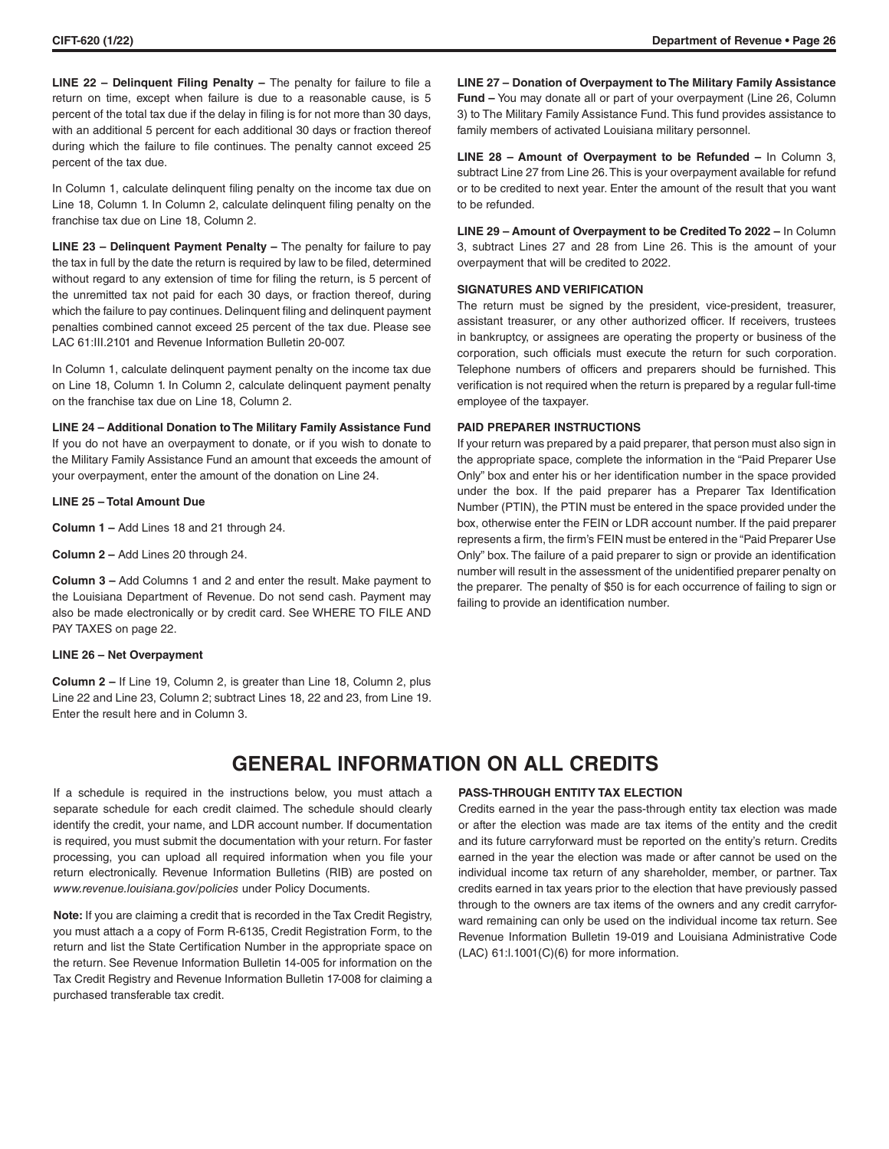**LINE 22 – Delinquent Filing Penalty –** The penalty for failure to file a return on time, except when failure is due to a reasonable cause, is 5 percent of the total tax due if the delay in filing is for not more than 30 days, with an additional 5 percent for each additional 30 days or fraction thereof during which the failure to file continues. The penalty cannot exceed 25 percent of the tax due.

In Column 1, calculate delinquent filing penalty on the income tax due on Line 18, Column 1. In Column 2, calculate delinquent filing penalty on the franchise tax due on Line 18, Column 2.

**LINE 23 - Delinquent Payment Penalty - The penalty for failure to pay** the tax in full by the date the return is required by law to be filed, determined without regard to any extension of time for filing the return, is 5 percent of the unremitted tax not paid for each 30 days, or fraction thereof, during which the failure to pay continues. Delinquent filing and delinquent payment penalties combined cannot exceed 25 percent of the tax due. Please see LAC 61:III.2101 and Revenue Information Bulletin 20-007.

In Column 1, calculate delinquent payment penalty on the income tax due on Line 18, Column 1. In Column 2, calculate delinquent payment penalty on the franchise tax due on Line 18, Column 2.

**LINE 24 – Additional Donation to The Military Family Assistance Fund** If you do not have an overpayment to donate, or if you wish to donate to the Military Family Assistance Fund an amount that exceeds the amount of your overpayment, enter the amount of the donation on Line 24.

# **LINE 25 – Total Amount Due**

**Column 1 –** Add Lines 18 and 21 through 24.

**Column 2 –** Add Lines 20 through 24.

**Column 3 –** Add Columns 1 and 2 and enter the result. Make payment to the Louisiana Department of Revenue. Do not send cash. Payment may also be made electronically or by credit card. See WHERE TO FILE AND PAY TAXES on page 22.

### **LINE 26 – Net Overpayment**

**Column 2 –** If Line 19, Column 2, is greater than Line 18, Column 2, plus Line 22 and Line 23, Column 2; subtract Lines 18, 22 and 23, from Line 19. Enter the result here and in Column 3.

**LINE 27 – Donation of Overpayment to The Military Family Assistance Fund –** You may donate all or part of your overpayment (Line 26, Column 3) to The Military Family Assistance Fund. This fund provides assistance to family members of activated Louisiana military personnel.

**LINE 28 – Amount of Overpayment to be Refunded –** In Column 3, subtract Line 27 from Line 26. This is your overpayment available for refund or to be credited to next year. Enter the amount of the result that you want to be refunded.

**LINE 29 – Amount of Overpayment to be Credited To 2022 –** In Column 3, subtract Lines 27 and 28 from Line 26. This is the amount of your overpayment that will be credited to 2022.

# **SIGNATURES AND VERIFICATION**

The return must be signed by the president, vice-president, treasurer, assistant treasurer, or any other authorized officer. If receivers, trustees in bankruptcy, or assignees are operating the property or business of the corporation, such officials must execute the return for such corporation. Telephone numbers of officers and preparers should be furnished. This verification is not required when the return is prepared by a regular full-time employee of the taxpayer.

# **PAID PREPARER INSTRUCTIONS**

If your return was prepared by a paid preparer, that person must also sign in the appropriate space, complete the information in the "Paid Preparer Use Only" box and enter his or her identification number in the space provided under the box. If the paid preparer has a Preparer Tax Identification Number (PTIN), the PTIN must be entered in the space provided under the box, otherwise enter the FEIN or LDR account number. If the paid preparer represents a firm, the firm's FEIN must be entered in the "Paid Preparer Use Only" box. The failure of a paid preparer to sign or provide an identification number will result in the assessment of the unidentified preparer penalty on the preparer. The penalty of \$50 is for each occurrence of failing to sign or failing to provide an identification number.

# **GENERAL INFORMATION ON ALL CREDITS**

If a schedule is required in the instructions below, you must attach a separate schedule for each credit claimed. The schedule should clearly identify the credit, your name, and LDR account number. If documentation is required, you must submit the documentation with your return. For faster processing, you can upload all required information when you file your return electronically. Revenue Information Bulletins (RIB) are posted on *www.revenue.louisiana.gov/policies* under Policy Documents.

**Note:** If you are claiming a credit that is recorded in the Tax Credit Registry, you must attach a a copy of Form R-6135, Credit Registration Form, to the return and list the State Certification Number in the appropriate space on the return. See Revenue Information Bulletin 14-005 for information on the Tax Credit Registry and Revenue Information Bulletin 17-008 for claiming a purchased transferable tax credit.

# **PASS-THROUGH ENTITY TAX ELECTION**

Credits earned in the year the pass-through entity tax election was made or after the election was made are tax items of the entity and the credit and its future carryforward must be reported on the entity's return. Credits earned in the year the election was made or after cannot be used on the individual income tax return of any shareholder, member, or partner. Tax credits earned in tax years prior to the election that have previously passed through to the owners are tax items of the owners and any credit carryforward remaining can only be used on the individual income tax return. See Revenue Information Bulletin 19-019 and Louisiana Administrative Code (LAC) 61:l.1001(C)(6) for more information.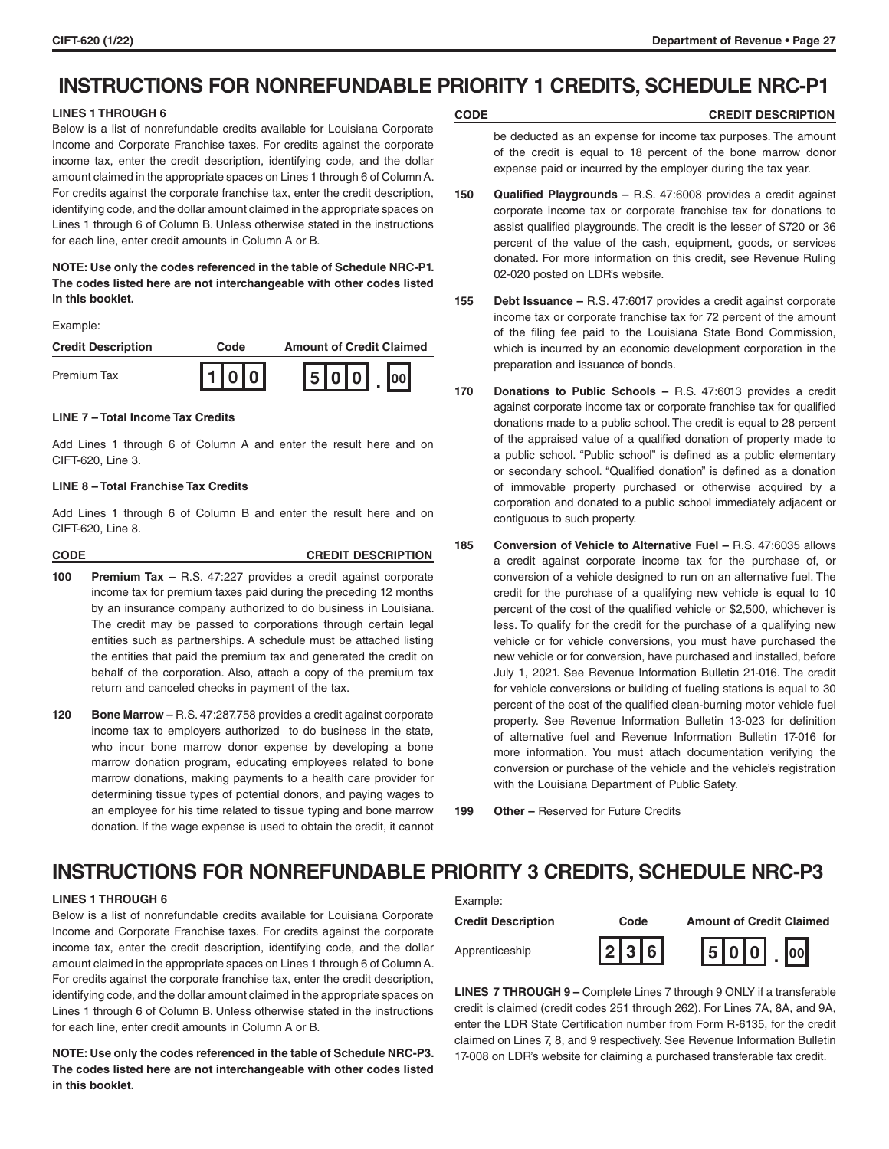# **INSTRUCTIONS FOR NONREFUNDABLE PRIORITY 1 CREDITS, SCHEDULE NRC-P1**

# **LINES 1 THROUGH 6**

Below is a list of nonrefundable credits available for Louisiana Corporate Income and Corporate Franchise taxes. For credits against the corporate income tax, enter the credit description, identifying code, and the dollar amount claimed in the appropriate spaces on Lines 1 through 6 of Column A. For credits against the corporate franchise tax, enter the credit description, identifying code, and the dollar amount claimed in the appropriate spaces on Lines 1 through 6 of Column B. Unless otherwise stated in the instructions for each line, enter credit amounts in Column A or B.

# **NOTE: Use only the codes referenced in the table of Schedule NRC-P1. The codes listed here are not interchangeable with other codes listed in this booklet.**

#### Example:

| <b>Credit Description</b> | Code    | <b>Amount of Credit Claimed</b> |
|---------------------------|---------|---------------------------------|
| Premium Tax               | I1lolol | 5 0 0                           |

#### **LINE 7 – Total Income Tax Credits**

Add Lines 1 through 6 of Column A and enter the result here and on CIFT-620, Line 3.

# **LINE 8 – Total Franchise Tax Credits**

Add Lines 1 through 6 of Column B and enter the result here and on CIFT-620, Line 8.

| <b>CODE</b> | <b>CREDIT DESCRIPTION</b> |
|-------------|---------------------------|
|             |                           |

- **100 Premium Tax** R.S. 47:227 provides a credit against corporate income tax for premium taxes paid during the preceding 12 months by an insurance company authorized to do business in Louisiana. The credit may be passed to corporations through certain legal entities such as partnerships. A schedule must be attached listing the entities that paid the premium tax and generated the credit on behalf of the corporation. Also, attach a copy of the premium tax return and canceled checks in payment of the tax.
- **120 Bone Marrow –** R.S. 47:287.758 provides a credit against corporate income tax to employers authorized to do business in the state, who incur bone marrow donor expense by developing a bone marrow donation program, educating employees related to bone marrow donations, making payments to a health care provider for determining tissue types of potential donors, and paying wages to an employee for his time related to tissue typing and bone marrow donation. If the wage expense is used to obtain the credit, it cannot

# **CODE CREDIT DESCRIPTION**

be deducted as an expense for income tax purposes. The amount of the credit is equal to 18 percent of the bone marrow donor expense paid or incurred by the employer during the tax year.

- **150 Qualified Playgrounds** R.S. 47:6008 provides a credit against corporate income tax or corporate franchise tax for donations to assist qualified playgrounds. The credit is the lesser of \$720 or 36 percent of the value of the cash, equipment, goods, or services donated. For more information on this credit, see Revenue Ruling 02-020 posted on LDR's website.
- **155 Debt Issuance –** R.S. 47:6017 provides a credit against corporate income tax or corporate franchise tax for 72 percent of the amount of the filing fee paid to the Louisiana State Bond Commission, which is incurred by an economic development corporation in the preparation and issuance of bonds.
- **170 Donations to Public Schools** R.S. 47:6013 provides a credit against corporate income tax or corporate franchise tax for qualified donations made to a public school. The credit is equal to 28 percent of the appraised value of a qualified donation of property made to a public school. "Public school" is defined as a public elementary or secondary school. "Qualified donation" is defined as a donation of immovable property purchased or otherwise acquired by a corporation and donated to a public school immediately adjacent or contiguous to such property.
- **185 Conversion of Vehicle to Alternative Fuel** R.S. 47:6035 allows a credit against corporate income tax for the purchase of, or conversion of a vehicle designed to run on an alternative fuel. The credit for the purchase of a qualifying new vehicle is equal to 10 percent of the cost of the qualified vehicle or \$2,500, whichever is less. To qualify for the credit for the purchase of a qualifying new vehicle or for vehicle conversions, you must have purchased the new vehicle or for conversion, have purchased and installed, before July 1, 2021. See Revenue Information Bulletin 21-016. The credit for vehicle conversions or building of fueling stations is equal to 30 percent of the cost of the qualified clean-burning motor vehicle fuel property. See Revenue Information Bulletin 13-023 for definition of alternative fuel and Revenue Information Bulletin 17-016 for more information. You must attach documentation verifying the conversion or purchase of the vehicle and the vehicle's registration with the Louisiana Department of Public Safety.

**199 Other –** Reserved for Future Credits

# **INSTRUCTIONS FOR NONREFUNDABLE PRIORITY 3 CREDITS, SCHEDULE NRC-P3**

Example:

# **LINES 1 THROUGH 6**

Below is a list of nonrefundable credits available for Louisiana Corporate Income and Corporate Franchise taxes. For credits against the corporate income tax, enter the credit description, identifying code, and the dollar amount claimed in the appropriate spaces on Lines 1 through 6 of Column A. For credits against the corporate franchise tax, enter the credit description, identifying code, and the dollar amount claimed in the appropriate spaces on Lines 1 through 6 of Column B. Unless otherwise stated in the instructions for each line, enter credit amounts in Column A or B.

**NOTE: Use only the codes referenced in the table of Schedule NRC-P3. The codes listed here are not interchangeable with other codes listed in this booklet.**

| Example.                  |           |                                 |
|---------------------------|-----------|---------------------------------|
| <b>Credit Description</b> | Code      | <b>Amount of Credit Claimed</b> |
| Apprenticeship            | $ 2 3 6 $ | $ 5 0 0 $ . $ 00 $              |

**LINES 7 THROUGH 9 –** Complete Lines 7 through 9 ONLY if a transferable credit is claimed (credit codes 251 through 262). For Lines 7A, 8A, and 9A, enter the LDR State Certification number from Form R-6135, for the credit claimed on Lines 7, 8, and 9 respectively. See Revenue Information Bulletin 17-008 on LDR's website for claiming a purchased transferable tax credit.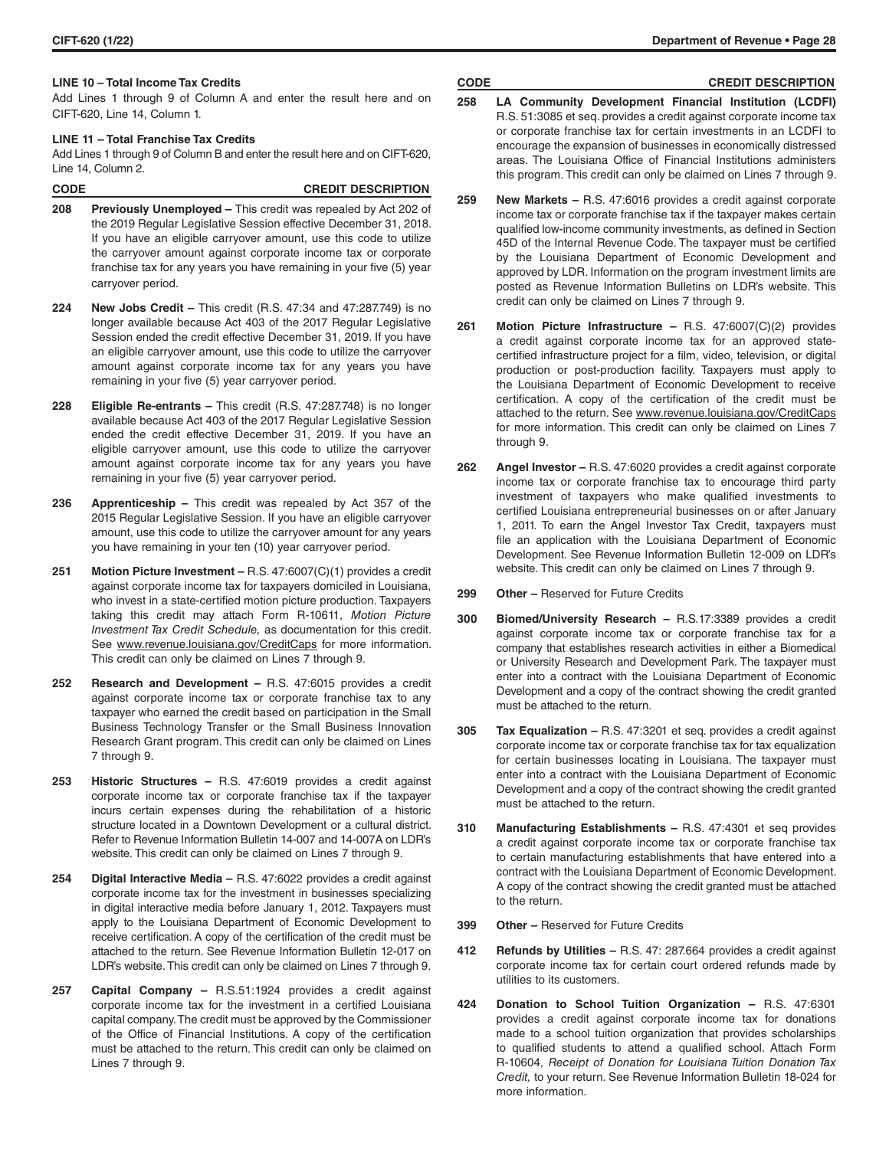# **LINE 10 – Total Income Tax Credits**

Add Lines 1 through 9 of Column A and enter the result here and on CIFT-620, Line 14, Column 1.

#### **LINE 11 – Total Franchise Tax Credits**

Add Lines 1 through 9 of Column B and enter the result here and on CIFT-620, Line 14, Column 2.

| <b>CODE</b> | <b>CREDIT DESCRIPTION</b> |
|-------------|---------------------------|
|             |                           |

- **208 Previously Unemployed** This credit was repealed by Act 202 of the 2019 Regular Legislative Session effective December 31, 2018. If you have an eligible carryover amount, use this code to utilize the carryover amount against corporate income tax or corporate franchise tax for any years you have remaining in your five (5) year carryover period.
- **224 New Jobs Credit** This credit (R.S. 47:34 and 47:287.749) is no longer available because Act 403 of the 2017 Regular Legislative Session ended the credit effective December 31, 2019. If you have an eligible carryover amount, use this code to utilize the carryover amount against corporate income tax for any years you have remaining in your five (5) year carryover period.
- **228 Eligible Re-entrants –** This credit (R.S. 47:287.748) is no longer available because Act 403 of the 2017 Regular Legislative Session ended the credit effective December 31, 2019. If you have an eligible carryover amount, use this code to utilize the carryover amount against corporate income tax for any years you have remaining in your five (5) year carryover period.
- **236 Apprenticeship** This credit was repealed by Act 357 of the 2015 Regular Legislative Session. If you have an eligible carryover amount, use this code to utilize the carryover amount for any years you have remaining in your ten (10) year carryover period.
- **251 Motion Picture Investment –** R.S. 47:6007(C)(1) provides a credit against corporate income tax for taxpayers domiciled in Louisiana, who invest in a state-certified motion picture production. Taxpayers taking this credit may attach Form R-10611, *Motion Picture Investment Tax Credit Schedule,* as documentation for this credit. See www.revenue.louisiana.gov/CreditCaps for more information. This credit can only be claimed on Lines 7 through 9.
- **252 Research and Development** R.S. 47:6015 provides a credit against corporate income tax or corporate franchise tax to any taxpayer who earned the credit based on participation in the Small Business Technology Transfer or the Small Business Innovation Research Grant program. This credit can only be claimed on Lines 7 through 9.
- **253 Historic Structures** R.S. 47:6019 provides a credit against corporate income tax or corporate franchise tax if the taxpayer incurs certain expenses during the rehabilitation of a historic structure located in a Downtown Development or a cultural district. Refer to Revenue Information Bulletin 14-007 and 14-007A on LDR's website. This credit can only be claimed on Lines 7 through 9.
- **254 Digital Interactive Media** R.S. 47:6022 provides a credit against corporate income tax for the investment in businesses specializing in digital interactive media before January 1, 2012. Taxpayers must apply to the Louisiana Department of Economic Development to receive certification. A copy of the certification of the credit must be attached to the return. See Revenue Information Bulletin 12-017 on LDR's website. This credit can only be claimed on Lines 7 through 9.
- **257 Capital Company** R.S.51:1924 provides a credit against corporate income tax for the investment in a certified Louisiana capital company. The credit must be approved by the Commissioner of the Office of Financial Institutions. A copy of the certification must be attached to the return. This credit can only be claimed on Lines 7 through 9.

#### **CIFT-620 (1/22) Department of Revenue • Page 28**

## **CODE CREDIT DESCRIPTION**

- **258 LA Community Development Financial Institution (LCDFI)**  R.S. 51:3085 et seq. provides a credit against corporate income tax or corporate franchise tax for certain investments in an LCDFI to encourage the expansion of businesses in economically distressed areas. The Louisiana Office of Financial Institutions administers this program. This credit can only be claimed on Lines 7 through 9.
- **259 New Markets** R.S. 47:6016 provides a credit against corporate income tax or corporate franchise tax if the taxpayer makes certain qualified low-income community investments, as defined in Section 45D of the Internal Revenue Code. The taxpayer must be certified by the Louisiana Department of Economic Development and approved by LDR. Information on the program investment limits are posted as Revenue Information Bulletins on LDR's website. This credit can only be claimed on Lines 7 through 9.
- **261 Motion Picture Infrastructure** R.S. 47:6007(C)(2) provides a credit against corporate income tax for an approved statecertified infrastructure project for a film, video, television, or digital production or post-production facility. Taxpayers must apply to the Louisiana Department of Economic Development to receive certification. A copy of the certification of the credit must be attached to the return. See www.revenue.louisiana.gov/CreditCaps for more information. This credit can only be claimed on Lines 7 through 9.
- **262 Angel Investor –** R.S. 47:6020 provides a credit against corporate income tax or corporate franchise tax to encourage third party investment of taxpayers who make qualified investments to certified Louisiana entrepreneurial businesses on or after January 1, 2011. To earn the Angel Investor Tax Credit, taxpayers must file an application with the Louisiana Department of Economic Development. See Revenue Information Bulletin 12-009 on LDR's website. This credit can only be claimed on Lines 7 through 9.
- **299 Other** Reserved for Future Credits
- **300 Biomed/University Research** R.S.17:3389 provides a credit against corporate income tax or corporate franchise tax for a company that establishes research activities in either a Biomedical or University Research and Development Park. The taxpayer must enter into a contract with the Louisiana Department of Economic Development and a copy of the contract showing the credit granted must be attached to the return.
- **305 Tax Equalization** R.S. 47:3201 et seq. provides a credit against corporate income tax or corporate franchise tax for tax equalization for certain businesses locating in Louisiana. The taxpayer must enter into a contract with the Louisiana Department of Economic Development and a copy of the contract showing the credit granted must be attached to the return.
- **310 Manufacturing Establishments** R.S. 47:4301 et seq provides a credit against corporate income tax or corporate franchise tax to certain manufacturing establishments that have entered into a contract with the Louisiana Department of Economic Development. A copy of the contract showing the credit granted must be attached to the return.
- **399 Other** Reserved for Future Credits
- **412 Refunds by Utilities** R.S. 47: 287.664 provides a credit against corporate income tax for certain court ordered refunds made by utilities to its customers.
- **424 Donation to School Tuition Organization** R.S. 47:6301 provides a credit against corporate income tax for donations made to a school tuition organization that provides scholarships to qualified students to attend a qualified school. Attach Form R-10604, *Receipt of Donation for Louisiana Tuition Donation Tax Credit,* to your return. See Revenue Information Bulletin 18-024 for more information.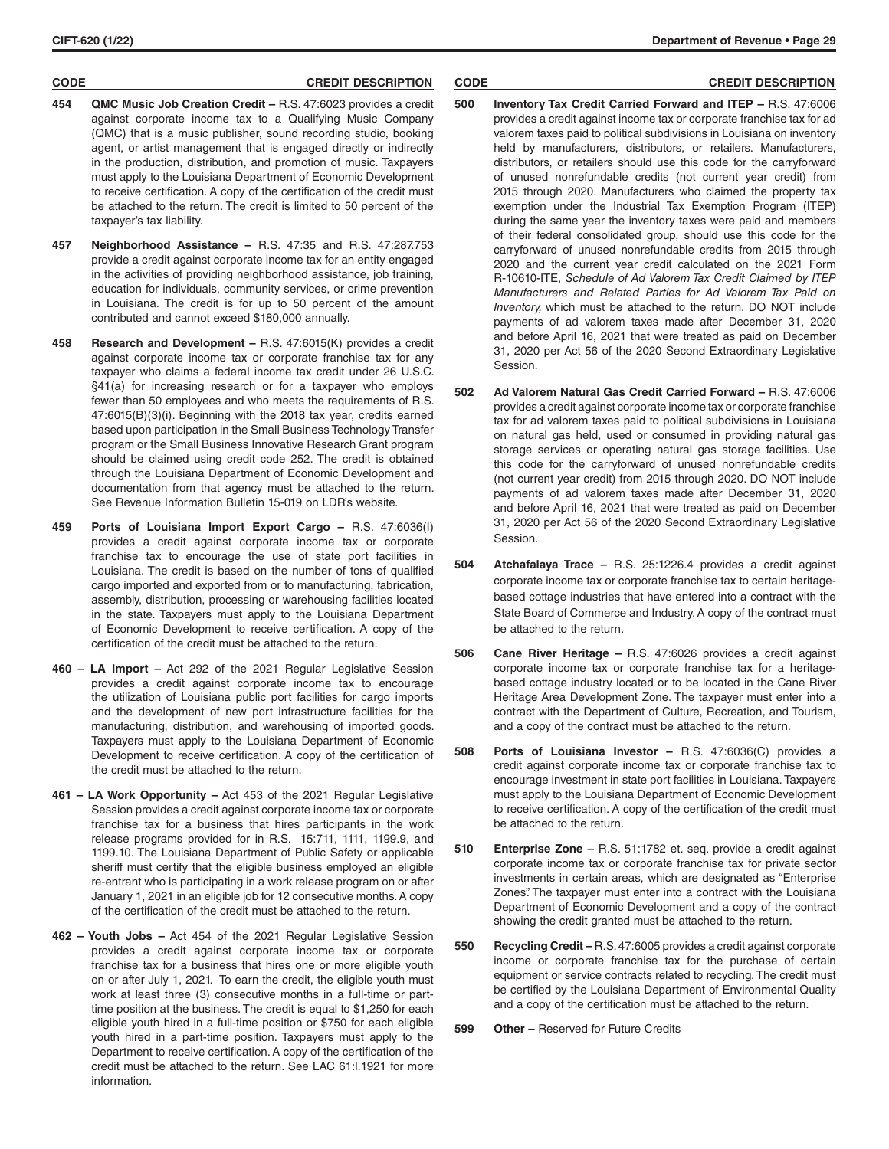### **CODE CREDIT DESCRIPTION CODE CREDIT DESCRIPTION**

- **454 QMC Music Job Creation Credit** R.S. 47:6023 provides a credit against corporate income tax to a Qualifying Music Company (QMC) that is a music publisher, sound recording studio, booking agent, or artist management that is engaged directly or indirectly in the production, distribution, and promotion of music. Taxpayers must apply to the Louisiana Department of Economic Development to receive certification. A copy of the certification of the credit must be attached to the return. The credit is limited to 50 percent of the taxpayer's tax liability.
- **457 Neighborhood Assistance** R.S. 47:35 and R.S. 47:287.753 provide a credit against corporate income tax for an entity engaged in the activities of providing neighborhood assistance, job training, education for individuals, community services, or crime prevention in Louisiana. The credit is for up to 50 percent of the amount contributed and cannot exceed \$180,000 annually.
- **458 Research and Development** R.S. 47:6015(K) provides a credit against corporate income tax or corporate franchise tax for any taxpayer who claims a federal income tax credit under 26 U.S.C. §41(a) for increasing research or for a taxpayer who employs fewer than 50 employees and who meets the requirements of R.S. 47:6015(B)(3)(i). Beginning with the 2018 tax year, credits earned based upon participation in the Small Business Technology Transfer program or the Small Business Innovative Research Grant program should be claimed using credit code 252. The credit is obtained through the Louisiana Department of Economic Development and documentation from that agency must be attached to the return. See Revenue Information Bulletin 15-019 on LDR's website.
- **459 Ports of Louisiana Import Export Cargo** R.S. 47:6036(I) provides a credit against corporate income tax or corporate franchise tax to encourage the use of state port facilities in Louisiana. The credit is based on the number of tons of qualified cargo imported and exported from or to manufacturing, fabrication, assembly, distribution, processing or warehousing facilities located in the state. Taxpayers must apply to the Louisiana Department of Economic Development to receive certification. A copy of the certification of the credit must be attached to the return.
- **460 LA Import –** Act 292 of the 2021 Regular Legislative Session provides a credit against corporate income tax to encourage the utilization of Louisiana public port facilities for cargo imports and the development of new port infrastructure facilities for the manufacturing, distribution, and warehousing of imported goods. Taxpayers must apply to the Louisiana Department of Economic Development to receive certification. A copy of the certification of the credit must be attached to the return.
- **461 LA Work Opportunity –** Act 453 of the 2021 Regular Legislative Session provides a credit against corporate income tax or corporate franchise tax for a business that hires participants in the work release programs provided for in R.S. 15:711, 1111, 1199.9, and 1199.10. The Louisiana Department of Public Safety or applicable sheriff must certify that the eligible business employed an eligible re-entrant who is participating in a work release program on or after January 1, 2021 in an eligible job for 12 consecutive months. A copy of the certification of the credit must be attached to the return.
- **462 Youth Jobs –** Act 454 of the 2021 Regular Legislative Session provides a credit against corporate income tax or corporate franchise tax for a business that hires one or more eligible youth on or after July 1, 2021. To earn the credit, the eligible youth must work at least three (3) consecutive months in a full-time or parttime position at the business. The credit is equal to \$1,250 for each eligible youth hired in a full-time position or \$750 for each eligible youth hired in a part-time position. Taxpayers must apply to the Department to receive certification. A copy of the certification of the credit must be attached to the return. See LAC 61:l.1921 for more information.

- **500 Inventory Tax Credit Carried Forward and ITEP** R.S. 47:6006 provides a credit against income tax or corporate franchise tax for ad valorem taxes paid to political subdivisions in Louisiana on inventory held by manufacturers, distributors, or retailers. Manufacturers, distributors, or retailers should use this code for the carryforward of unused nonrefundable credits (not current year credit) from 2015 through 2020. Manufacturers who claimed the property tax exemption under the Industrial Tax Exemption Program (ITEP) during the same year the inventory taxes were paid and members of their federal consolidated group, should use this code for the carryforward of unused nonrefundable credits from 2015 through 2020 and the current year credit calculated on the 2021 Form R-10610-ITE, *Schedule of Ad Valorem Tax Credit Claimed by ITEP Manufacturers and Related Parties for Ad Valorem Tax Paid on Inventory,* which must be attached to the return. DO NOT include payments of ad valorem taxes made after December 31, 2020 and before April 16, 2021 that were treated as paid on December 31, 2020 per Act 56 of the 2020 Second Extraordinary Legislative Session.
- **502 Ad Valorem Natural Gas Credit Carried Forward** R.S. 47:6006 provides a credit against corporate income tax or corporate franchise tax for ad valorem taxes paid to political subdivisions in Louisiana on natural gas held, used or consumed in providing natural gas storage services or operating natural gas storage facilities. Use this code for the carryforward of unused nonrefundable credits (not current year credit) from 2015 through 2020. DO NOT include payments of ad valorem taxes made after December 31, 2020 and before April 16, 2021 that were treated as paid on December 31, 2020 per Act 56 of the 2020 Second Extraordinary Legislative Session.
- **504 Atchafalaya Trace** R.S. 25:1226.4 provides a credit against corporate income tax or corporate franchise tax to certain heritagebased cottage industries that have entered into a contract with the State Board of Commerce and Industry. A copy of the contract must be attached to the return.
- **506 Cane River Heritage** R.S. 47:6026 provides a credit against corporate income tax or corporate franchise tax for a heritagebased cottage industry located or to be located in the Cane River Heritage Area Development Zone. The taxpayer must enter into a contract with the Department of Culture, Recreation, and Tourism, and a copy of the contract must be attached to the return.
- **508 Ports of Louisiana Investor** R.S. 47:6036(C) provides a credit against corporate income tax or corporate franchise tax to encourage investment in state port facilities in Louisiana. Taxpayers must apply to the Louisiana Department of Economic Development to receive certification. A copy of the certification of the credit must be attached to the return.
- **510 Enterprise Zone** R.S. 51:1782 et. seq. provide a credit against corporate income tax or corporate franchise tax for private sector investments in certain areas, which are designated as "Enterprise Zones". The taxpayer must enter into a contract with the Louisiana Department of Economic Development and a copy of the contract showing the credit granted must be attached to the return.
- **550 Recycling Credit** R.S. 47:6005 provides a credit against corporate income or corporate franchise tax for the purchase of certain equipment or service contracts related to recycling. The credit must be certified by the Louisiana Department of Environmental Quality and a copy of the certification must be attached to the return.
- **599 Other –** Reserved for Future Credits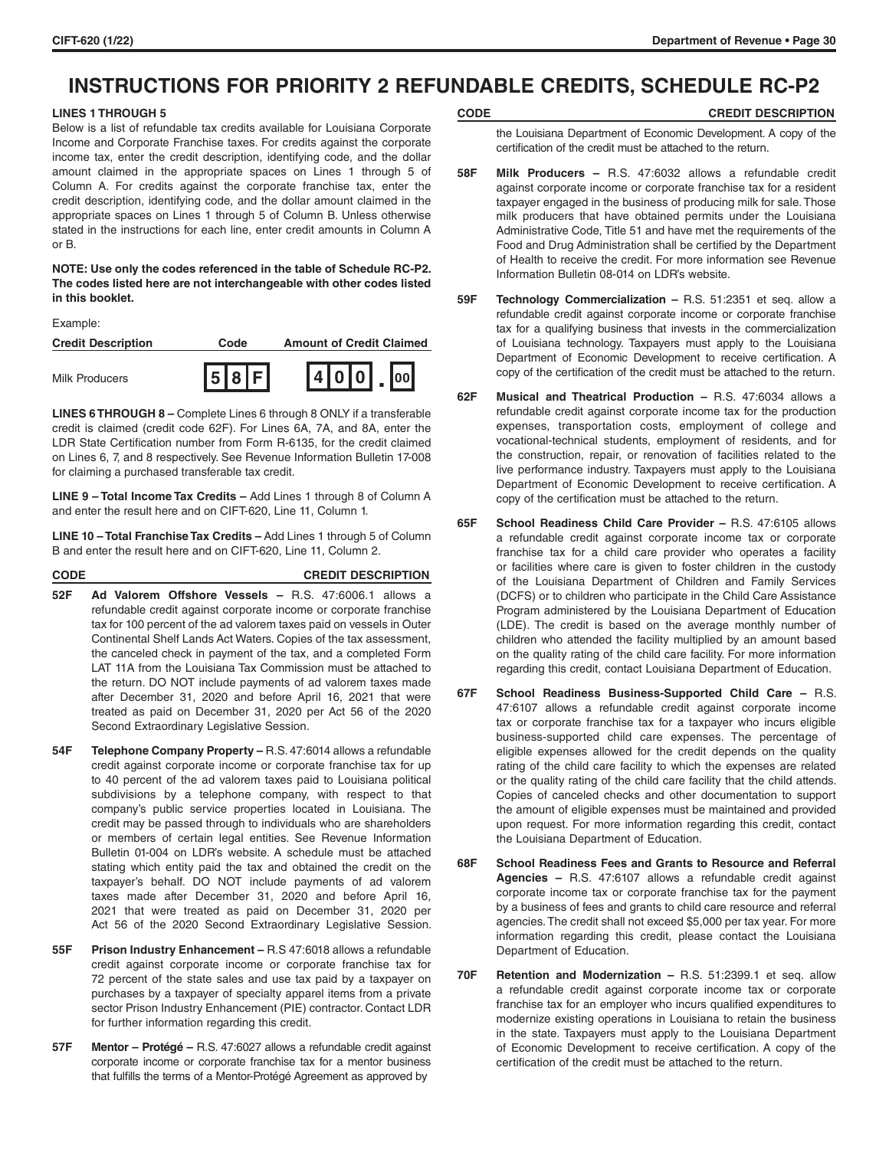# **INSTRUCTIONS FOR PRIORITY 2 REFUNDABLE CREDITS, SCHEDULE RC-P2**

# **LINES 1 THROUGH 5**

Below is a list of refundable tax credits available for Louisiana Corporate Income and Corporate Franchise taxes. For credits against the corporate income tax, enter the credit description, identifying code, and the dollar amount claimed in the appropriate spaces on Lines 1 through 5 of Column A. For credits against the corporate franchise tax, enter the credit description, identifying code, and the dollar amount claimed in the appropriate spaces on Lines 1 through 5 of Column B. Unless otherwise stated in the instructions for each line, enter credit amounts in Column A or B.

# **NOTE: Use only the codes referenced in the table of Schedule RC-P2. The codes listed here are not interchangeable with other codes listed in this booklet.**

Example:

| <b>Credit Description</b> | Code  | <b>Amount of Credit Claimed</b> |
|---------------------------|-------|---------------------------------|
| <b>Milk Producers</b>     | 5 8 F | 1410101                         |

**LINES 6 THROUGH 8 –** Complete Lines 6 through 8 ONLY if a transferable credit is claimed (credit code 62F). For Lines 6A, 7A, and 8A, enter the LDR State Certification number from Form R-6135, for the credit claimed on Lines 6, 7, and 8 respectively. See Revenue Information Bulletin 17-008 for claiming a purchased transferable tax credit.

**LINE 9 – Total Income Tax Credits –** Add Lines 1 through 8 of Column A and enter the result here and on CIFT-620, Line 11, Column 1.

**LINE 10 – Total Franchise Tax Credits –** Add Lines 1 through 5 of Column B and enter the result here and on CIFT-620, Line 11, Column 2.

| <b>CODE</b> | <b>CREDIT DESCRIPTION</b> |
|-------------|---------------------------|
|             |                           |

- **52F Ad Valorem Offshore Vessels –** R.S. 47:6006.1 allows a refundable credit against corporate income or corporate franchise tax for 100 percent of the ad valorem taxes paid on vessels in Outer Continental Shelf Lands Act Waters. Copies of the tax assessment, the canceled check in payment of the tax, and a completed Form LAT 11A from the Louisiana Tax Commission must be attached to the return. DO NOT include payments of ad valorem taxes made after December 31, 2020 and before April 16, 2021 that were treated as paid on December 31, 2020 per Act 56 of the 2020 Second Extraordinary Legislative Session.
- **54F Telephone Company Property –** R.S. 47:6014 allows a refundable credit against corporate income or corporate franchise tax for up to 40 percent of the ad valorem taxes paid to Louisiana political subdivisions by a telephone company, with respect to that company's public service properties located in Louisiana. The credit may be passed through to individuals who are shareholders or members of certain legal entities. See Revenue Information Bulletin 01-004 on LDR's website. A schedule must be attached stating which entity paid the tax and obtained the credit on the taxpayer's behalf. DO NOT include payments of ad valorem taxes made after December 31, 2020 and before April 16, 2021 that were treated as paid on December 31, 2020 per Act 56 of the 2020 Second Extraordinary Legislative Session.
- **55F Prison Industry Enhancement** R.S 47:6018 allows a refundable credit against corporate income or corporate franchise tax for 72 percent of the state sales and use tax paid by a taxpayer on purchases by a taxpayer of specialty apparel items from a private sector Prison Industry Enhancement (PIE) contractor. Contact LDR for further information regarding this credit.
- **57F Mentor Protégé** R.S. 47:6027 allows a refundable credit against corporate income or corporate franchise tax for a mentor business that fulfills the terms of a Mentor-Protégé Agreement as approved by

# **CODE CREDIT DESCRIPTION**

the Louisiana Department of Economic Development. A copy of the certification of the credit must be attached to the return.

- **58F Milk Producers** R.S. 47:6032 allows a refundable credit against corporate income or corporate franchise tax for a resident taxpayer engaged in the business of producing milk for sale. Those milk producers that have obtained permits under the Louisiana Administrative Code, Title 51 and have met the requirements of the Food and Drug Administration shall be certified by the Department of Health to receive the credit. For more information see Revenue Information Bulletin 08-014 on LDR's website.
- **59F Technology Commercialization** R.S. 51:2351 et seq. allow a refundable credit against corporate income or corporate franchise tax for a qualifying business that invests in the commercialization of Louisiana technology. Taxpayers must apply to the Louisiana Department of Economic Development to receive certification. A copy of the certification of the credit must be attached to the return.
- **62F Musical and Theatrical Production** R.S. 47:6034 allows a refundable credit against corporate income tax for the production expenses, transportation costs, employment of college and vocational-technical students, employment of residents, and for the construction, repair, or renovation of facilities related to the live performance industry. Taxpayers must apply to the Louisiana Department of Economic Development to receive certification. A copy of the certification must be attached to the return.
- **65F School Readiness Child Care Provider** R.S. 47:6105 allows a refundable credit against corporate income tax or corporate franchise tax for a child care provider who operates a facility or facilities where care is given to foster children in the custody of the Louisiana Department of Children and Family Services (DCFS) or to children who participate in the Child Care Assistance Program administered by the Louisiana Department of Education (LDE). The credit is based on the average monthly number of children who attended the facility multiplied by an amount based on the quality rating of the child care facility. For more information regarding this credit, contact Louisiana Department of Education.
- **67F School Readiness Business-Supported Child Care** R.S. 47:6107 allows a refundable credit against corporate income tax or corporate franchise tax for a taxpayer who incurs eligible business-supported child care expenses. The percentage of eligible expenses allowed for the credit depends on the quality rating of the child care facility to which the expenses are related or the quality rating of the child care facility that the child attends. Copies of canceled checks and other documentation to support the amount of eligible expenses must be maintained and provided upon request. For more information regarding this credit, contact the Louisiana Department of Education.
- **68F School Readiness Fees and Grants to Resource and Referral Agencies –** R.S. 47:6107 allows a refundable credit against corporate income tax or corporate franchise tax for the payment by a business of fees and grants to child care resource and referral agencies. The credit shall not exceed \$5,000 per tax year. For more information regarding this credit, please contact the Louisiana Department of Education.
- **70F Retention and Modernization –** R.S. 51:2399.1 et seq. allow a refundable credit against corporate income tax or corporate franchise tax for an employer who incurs qualified expenditures to modernize existing operations in Louisiana to retain the business in the state. Taxpayers must apply to the Louisiana Department of Economic Development to receive certification. A copy of the certification of the credit must be attached to the return.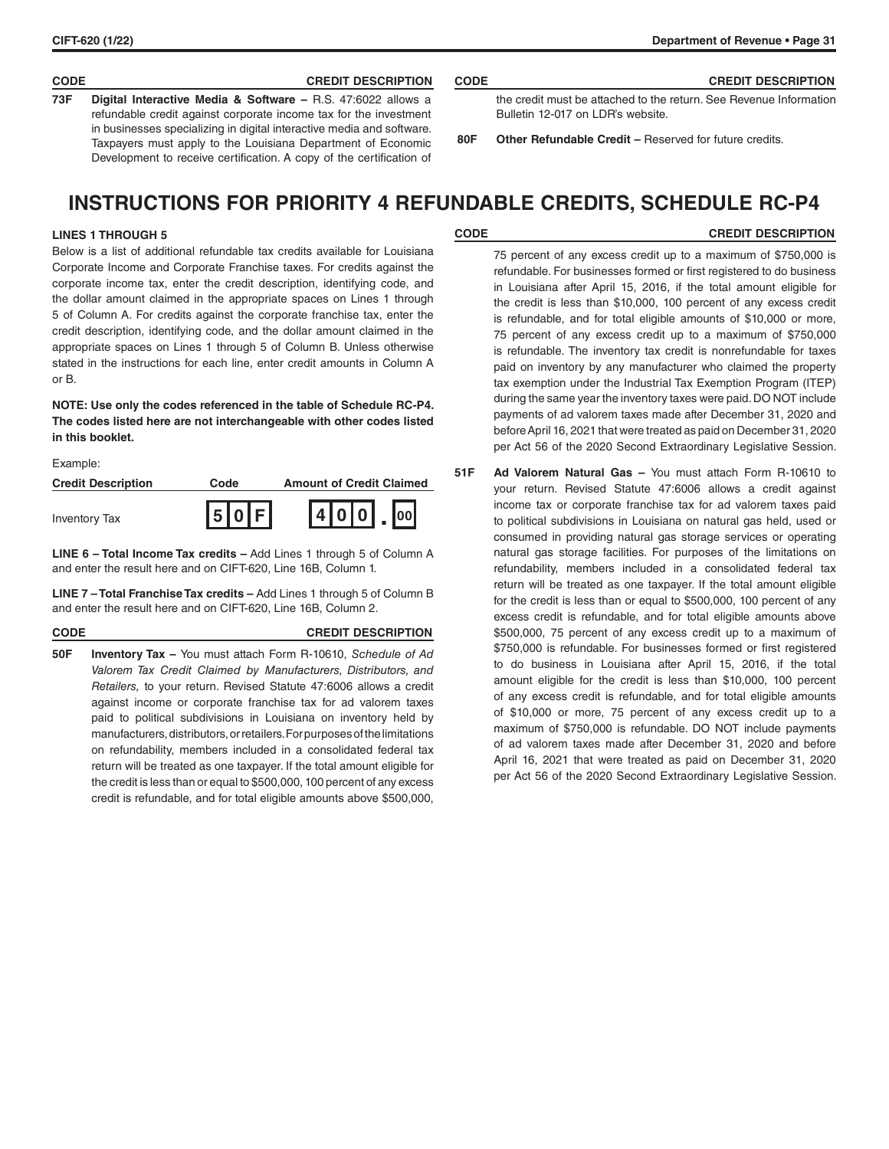# **CODE CREDIT DESCRIPTION CODE CREDIT DESCRIPTION**

**73F Digital Interactive Media & Software –** R.S. 47:6022 allows a refundable credit against corporate income tax for the investment in businesses specializing in digital interactive media and software. Taxpayers must apply to the Louisiana Department of Economic Development to receive certification. A copy of the certification of

| the credit must be attached to the return. See Revenue Information |
|--------------------------------------------------------------------|
| Bulletin 12-017 on LDR's website.                                  |
|                                                                    |

**80F Other Refundable Credit –** Reserved for future credits.

# **INSTRUCTIONS FOR PRIORITY 4 REFUNDABLE CREDITS, SCHEDULE RC-P4**

# **LINES 1 THROUGH 5**

Below is a list of additional refundable tax credits available for Louisiana Corporate Income and Corporate Franchise taxes. For credits against the corporate income tax, enter the credit description, identifying code, and the dollar amount claimed in the appropriate spaces on Lines 1 through 5 of Column A. For credits against the corporate franchise tax, enter the credit description, identifying code, and the dollar amount claimed in the appropriate spaces on Lines 1 through 5 of Column B. Unless otherwise stated in the instructions for each line, enter credit amounts in Column A or B.

**NOTE: Use only the codes referenced in the table of Schedule RC-P4. The codes listed here are not interchangeable with other codes listed in this booklet.**

Example:

| <b>Credit Description</b> | Code           | <b>Amount of Credit Claimed</b> |
|---------------------------|----------------|---------------------------------|
| <b>Inventory Tax</b>      | <b>IsloIFL</b> | 4 0 0 <br>$\vert$ lool          |

**LINE 6 – Total Income Tax credits –** Add Lines 1 through 5 of Column A and enter the result here and on CIFT-620, Line 16B, Column 1.

**LINE 7 – Total Franchise Tax credits –** Add Lines 1 through 5 of Column B and enter the result here and on CIFT-620, Line 16B, Column 2.

## **CODE CREDIT DESCRIPTION**

**50F Inventory Tax –** You must attach Form R-10610, *Schedule of Ad Valorem Tax Credit Claimed by Manufacturers, Distributors, and Retailers,* to your return. Revised Statute 47:6006 allows a credit against income or corporate franchise tax for ad valorem taxes paid to political subdivisions in Louisiana on inventory held by manufacturers, distributors, or retailers. For purposes of the limitations on refundability, members included in a consolidated federal tax return will be treated as one taxpayer. If the total amount eligible for the credit is less than or equal to \$500,000, 100 percent of any excess credit is refundable, and for total eligible amounts above \$500,000,

**CODE CREDIT DESCRIPTION**

75 percent of any excess credit up to a maximum of \$750,000 is refundable. For businesses formed or first registered to do business in Louisiana after April 15, 2016, if the total amount eligible for the credit is less than \$10,000, 100 percent of any excess credit is refundable, and for total eligible amounts of \$10,000 or more, 75 percent of any excess credit up to a maximum of \$750,000 is refundable. The inventory tax credit is nonrefundable for taxes paid on inventory by any manufacturer who claimed the property tax exemption under the Industrial Tax Exemption Program (ITEP) during the same year the inventory taxes were paid. DO NOT include payments of ad valorem taxes made after December 31, 2020 and before April 16, 2021 that were treated as paid on December 31, 2020 per Act 56 of the 2020 Second Extraordinary Legislative Session.

**51F Ad Valorem Natural Gas –** You must attach Form R-10610 to your return. Revised Statute 47:6006 allows a credit against income tax or corporate franchise tax for ad valorem taxes paid to political subdivisions in Louisiana on natural gas held, used or consumed in providing natural gas storage services or operating natural gas storage facilities. For purposes of the limitations on refundability, members included in a consolidated federal tax return will be treated as one taxpayer. If the total amount eligible for the credit is less than or equal to \$500,000, 100 percent of any excess credit is refundable, and for total eligible amounts above \$500,000, 75 percent of any excess credit up to a maximum of \$750,000 is refundable. For businesses formed or first registered to do business in Louisiana after April 15, 2016, if the total amount eligible for the credit is less than \$10,000, 100 percent of any excess credit is refundable, and for total eligible amounts of \$10,000 or more, 75 percent of any excess credit up to a maximum of \$750,000 is refundable. DO NOT include payments of ad valorem taxes made after December 31, 2020 and before April 16, 2021 that were treated as paid on December 31, 2020 per Act 56 of the 2020 Second Extraordinary Legislative Session.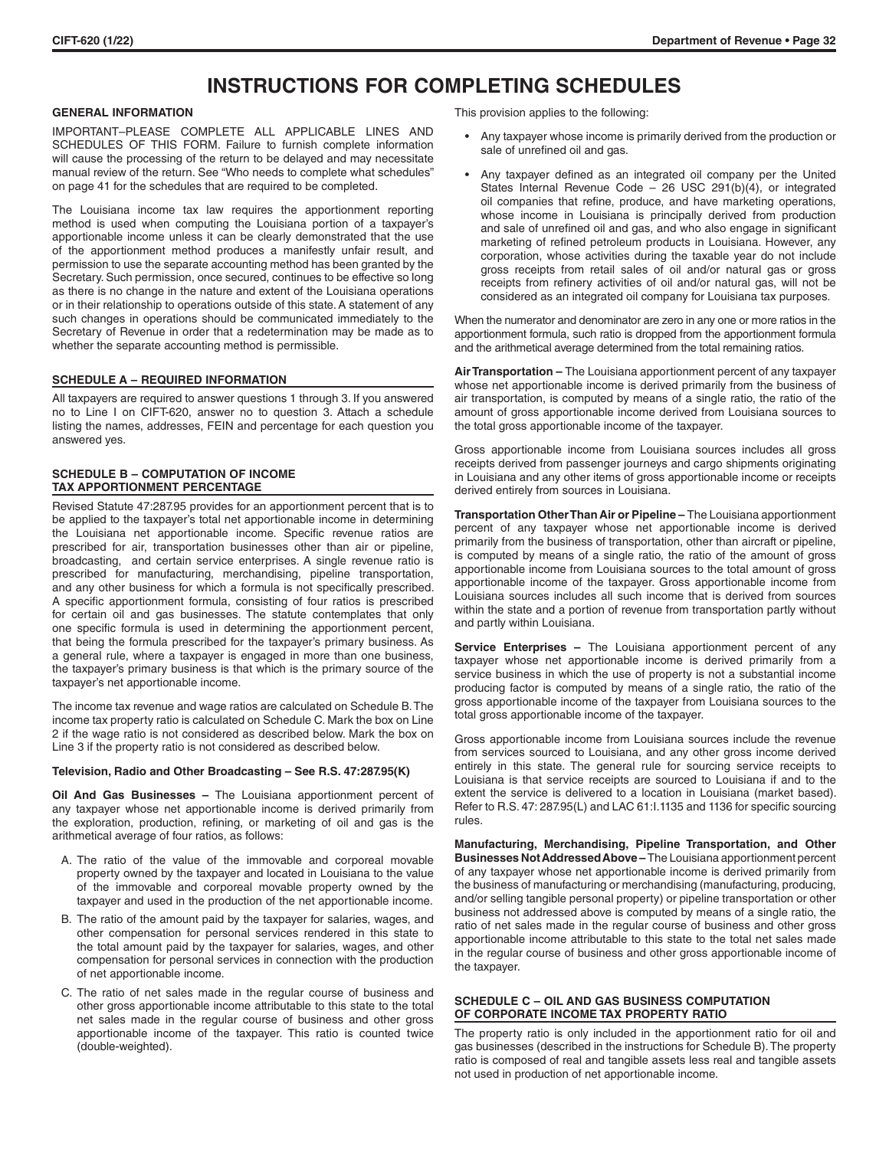# **INSTRUCTIONS FOR COMPLETING SCHEDULES**

# **GENERAL INFORMATION**

IMPORTANT–PLEASE COMPLETE ALL APPLICABLE LINES AND SCHEDULES OF THIS FORM. Failure to furnish complete information will cause the processing of the return to be delayed and may necessitate manual review of the return. See "Who needs to complete what schedules" on page 41 for the schedules that are required to be completed.

The Louisiana income tax law requires the apportionment reporting method is used when computing the Louisiana portion of a taxpayer's apportionable income unless it can be clearly demonstrated that the use of the apportionment method produces a manifestly unfair result, and permission to use the separate accounting method has been granted by the Secretary. Such permission, once secured, continues to be effective so long as there is no change in the nature and extent of the Louisiana operations or in their relationship to operations outside of this state. A statement of any such changes in operations should be communicated immediately to the Secretary of Revenue in order that a redetermination may be made as to whether the separate accounting method is permissible.

#### **SCHEDULE A – REQUIRED INFORMATION**

All taxpayers are required to answer questions 1 through 3. If you answered no to Line I on CIFT-620, answer no to question 3. Attach a schedule listing the names, addresses, FEIN and percentage for each question you answered yes.

# **SCHEDULE B – COMPUTATION OF INCOME TAX APPORTIONMENT PERCENTAGE**

Revised Statute 47:287.95 provides for an apportionment percent that is to be applied to the taxpayer's total net apportionable income in determining the Louisiana net apportionable income. Specific revenue ratios are prescribed for air, transportation businesses other than air or pipeline, broadcasting, and certain service enterprises. A single revenue ratio is prescribed for manufacturing, merchandising, pipeline transportation, and any other business for which a formula is not specifically prescribed. A specific apportionment formula, consisting of four ratios is prescribed for certain oil and gas businesses. The statute contemplates that only one specific formula is used in determining the apportionment percent, that being the formula prescribed for the taxpayer's primary business. As a general rule, where a taxpayer is engaged in more than one business, the taxpayer's primary business is that which is the primary source of the taxpayer's net apportionable income.

The income tax revenue and wage ratios are calculated on Schedule B. The income tax property ratio is calculated on Schedule C. Mark the box on Line 2 if the wage ratio is not considered as described below. Mark the box on Line 3 if the property ratio is not considered as described below.

#### **Television, Radio and Other Broadcasting – See R.S. 47:287.95(K)**

**Oil And Gas Businesses –** The Louisiana apportionment percent of any taxpayer whose net apportionable income is derived primarily from the exploration, production, refining, or marketing of oil and gas is the arithmetical average of four ratios, as follows:

- A. The ratio of the value of the immovable and corporeal movable property owned by the taxpayer and located in Louisiana to the value of the immovable and corporeal movable property owned by the taxpayer and used in the production of the net apportionable income.
- B. The ratio of the amount paid by the taxpayer for salaries, wages, and other compensation for personal services rendered in this state to the total amount paid by the taxpayer for salaries, wages, and other compensation for personal services in connection with the production of net apportionable income.
- C. The ratio of net sales made in the regular course of business and other gross apportionable income attributable to this state to the total net sales made in the regular course of business and other gross apportionable income of the taxpayer. This ratio is counted twice (double-weighted).

This provision applies to the following:

- Any taxpayer whose income is primarily derived from the production or sale of unrefined oil and gas.
- Any taxpayer defined as an integrated oil company per the United States Internal Revenue Code – 26 USC 291(b)(4), or integrated oil companies that refine, produce, and have marketing operations, whose income in Louisiana is principally derived from production and sale of unrefined oil and gas, and who also engage in significant marketing of refined petroleum products in Louisiana. However, any corporation, whose activities during the taxable year do not include gross receipts from retail sales of oil and/or natural gas or gross receipts from refinery activities of oil and/or natural gas, will not be considered as an integrated oil company for Louisiana tax purposes.

When the numerator and denominator are zero in any one or more ratios in the apportionment formula, such ratio is dropped from the apportionment formula and the arithmetical average determined from the total remaining ratios.

**Air Transportation –** The Louisiana apportionment percent of any taxpayer whose net apportionable income is derived primarily from the business of air transportation, is computed by means of a single ratio, the ratio of the amount of gross apportionable income derived from Louisiana sources to the total gross apportionable income of the taxpayer.

Gross apportionable income from Louisiana sources includes all gross receipts derived from passenger journeys and cargo shipments originating in Louisiana and any other items of gross apportionable income or receipts derived entirely from sources in Louisiana.

**Transportation Other Than Air or Pipeline –** The Louisiana apportionment percent of any taxpayer whose net apportionable income is derived primarily from the business of transportation, other than aircraft or pipeline, is computed by means of a single ratio, the ratio of the amount of gross apportionable income from Louisiana sources to the total amount of gross apportionable income of the taxpayer. Gross apportionable income from Louisiana sources includes all such income that is derived from sources within the state and a portion of revenue from transportation partly without and partly within Louisiana.

**Service Enterprises –** The Louisiana apportionment percent of any taxpayer whose net apportionable income is derived primarily from a service business in which the use of property is not a substantial income producing factor is computed by means of a single ratio, the ratio of the gross apportionable income of the taxpayer from Louisiana sources to the total gross apportionable income of the taxpayer.

Gross apportionable income from Louisiana sources include the revenue from services sourced to Louisiana, and any other gross income derived entirely in this state. The general rule for sourcing service receipts to Louisiana is that service receipts are sourced to Louisiana if and to the extent the service is delivered to a location in Louisiana (market based). Refer to R.S. 47: 287.95(L) and LAC 61: I.1135 and 1136 for specific sourcing rules.

**Manufacturing, Merchandising, Pipeline Transportation, and Other Businesses Not Addressed Above –** The Louisiana apportionment percent of any taxpayer whose net apportionable income is derived primarily from the business of manufacturing or merchandising (manufacturing, producing, and/or selling tangible personal property) or pipeline transportation or other business not addressed above is computed by means of a single ratio, the ratio of net sales made in the regular course of business and other gross apportionable income attributable to this state to the total net sales made in the regular course of business and other gross apportionable income of the taxpayer.

## **SCHEDULE C – OIL AND GAS BUSINESS COMPUTATION OF CORPORATE INCOME TAX PROPERTY RATIO**

The property ratio is only included in the apportionment ratio for oil and gas businesses (described in the instructions for Schedule B). The property ratio is composed of real and tangible assets less real and tangible assets not used in production of net apportionable income.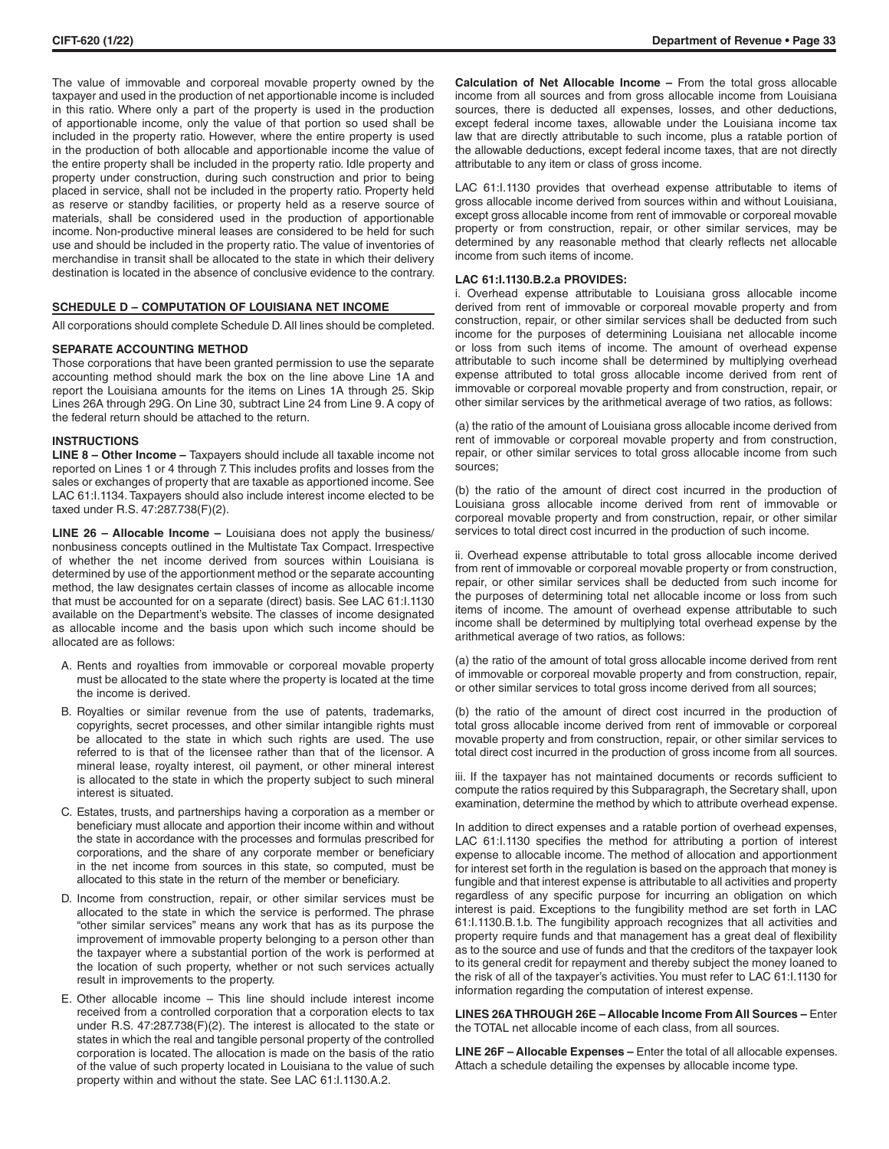The value of immovable and corporeal movable property owned by the taxpayer and used in the production of net apportionable income is included in this ratio. Where only a part of the property is used in the production of apportionable income, only the value of that portion so used shall be included in the property ratio. However, where the entire property is used in the production of both allocable and apportionable income the value of the entire property shall be included in the property ratio. Idle property and property under construction, during such construction and prior to being placed in service, shall not be included in the property ratio. Property held as reserve or standby facilities, or property held as a reserve source of materials, shall be considered used in the production of apportionable income. Non-productive mineral leases are considered to be held for such use and should be included in the property ratio. The value of inventories of merchandise in transit shall be allocated to the state in which their delivery destination is located in the absence of conclusive evidence to the contrary.

### **SCHEDULE D – COMPUTATION OF LOUISIANA NET INCOME**

All corporations should complete Schedule D. All lines should be completed.

# **SEPARATE ACCOUNTING METHOD**

Those corporations that have been granted permission to use the separate accounting method should mark the box on the line above Line 1A and report the Louisiana amounts for the items on Lines 1A through 25. Skip Lines 26A through 29G. On Line 30, subtract Line 24 from Line 9. A copy of the federal return should be attached to the return.

## **INSTRUCTIONS**

**LINE 8 – Other Income –** Taxpayers should include all taxable income not reported on Lines 1 or 4 through 7. This includes profits and losses from the sales or exchanges of property that are taxable as apportioned income. See LAC 61:I.1134. Taxpayers should also include interest income elected to be taxed under R.S. 47:287.738(F)(2).

**LINE 26 – Allocable Income –** Louisiana does not apply the business/ nonbusiness concepts outlined in the Multistate Tax Compact. Irrespective of whether the net income derived from sources within Louisiana is determined by use of the apportionment method or the separate accounting method, the law designates certain classes of income as allocable income that must be accounted for on a separate (direct) basis. See LAC 61:I.1130 available on the Department's website. The classes of income designated as allocable income and the basis upon which such income should be allocated are as follows:

- A. Rents and royalties from immovable or corporeal movable property must be allocated to the state where the property is located at the time the income is derived.
- B. Royalties or similar revenue from the use of patents, trademarks, copyrights, secret processes, and other similar intangible rights must be allocated to the state in which such rights are used. The use referred to is that of the licensee rather than that of the licensor. A mineral lease, royalty interest, oil payment, or other mineral interest is allocated to the state in which the property subject to such mineral interest is situated.
- C. Estates, trusts, and partnerships having a corporation as a member or beneficiary must allocate and apportion their income within and without the state in accordance with the processes and formulas prescribed for corporations, and the share of any corporate member or beneficiary in the net income from sources in this state, so computed, must be allocated to this state in the return of the member or beneficiary.
- D. Income from construction, repair, or other similar services must be allocated to the state in which the service is performed. The phrase "other similar services" means any work that has as its purpose the improvement of immovable property belonging to a person other than the taxpayer where a substantial portion of the work is performed at the location of such property, whether or not such services actually result in improvements to the property.
- E. Other allocable income This line should include interest income received from a controlled corporation that a corporation elects to tax under R.S. 47:287.738(F)(2). The interest is allocated to the state or states in which the real and tangible personal property of the controlled corporation is located. The allocation is made on the basis of the ratio of the value of such property located in Louisiana to the value of such property within and without the state. See LAC 61:I.1130.A.2.

**Calculation of Net Allocable Income –** From the total gross allocable income from all sources and from gross allocable income from Louisiana sources, there is deducted all expenses, losses, and other deductions, except federal income taxes, allowable under the Louisiana income tax law that are directly attributable to such income, plus a ratable portion of the allowable deductions, except federal income taxes, that are not directly attributable to any item or class of gross income.

LAC 61:I.1130 provides that overhead expense attributable to items of gross allocable income derived from sources within and without Louisiana, except gross allocable income from rent of immovable or corporeal movable property or from construction, repair, or other similar services, may be determined by any reasonable method that clearly reflects net allocable income from such items of income.

### **LAC 61:I.1130.B.2.a PROVIDES:**

i. Overhead expense attributable to Louisiana gross allocable income derived from rent of immovable or corporeal movable property and from construction, repair, or other similar services shall be deducted from such income for the purposes of determining Louisiana net allocable income or loss from such items of income. The amount of overhead expense attributable to such income shall be determined by multiplying overhead expense attributed to total gross allocable income derived from rent of immovable or corporeal movable property and from construction, repair, or other similar services by the arithmetical average of two ratios, as follows:

(a) the ratio of the amount of Louisiana gross allocable income derived from rent of immovable or corporeal movable property and from construction, repair, or other similar services to total gross allocable income from such sources;

(b) the ratio of the amount of direct cost incurred in the production of Louisiana gross allocable income derived from rent of immovable or corporeal movable property and from construction, repair, or other similar services to total direct cost incurred in the production of such income.

ii. Overhead expense attributable to total gross allocable income derived from rent of immovable or corporeal movable property or from construction, repair, or other similar services shall be deducted from such income for the purposes of determining total net allocable income or loss from such items of income. The amount of overhead expense attributable to such income shall be determined by multiplying total overhead expense by the arithmetical average of two ratios, as follows:

(a) the ratio of the amount of total gross allocable income derived from rent of immovable or corporeal movable property and from construction, repair, or other similar services to total gross income derived from all sources;

(b) the ratio of the amount of direct cost incurred in the production of total gross allocable income derived from rent of immovable or corporeal movable property and from construction, repair, or other similar services to total direct cost incurred in the production of gross income from all sources.

iii. If the taxpayer has not maintained documents or records sufficient to compute the ratios required by this Subparagraph, the Secretary shall, upon examination, determine the method by which to attribute overhead expense.

In addition to direct expenses and a ratable portion of overhead expenses, LAC 61:I.1130 specifies the method for attributing a portion of interest expense to allocable income. The method of allocation and apportionment for interest set forth in the regulation is based on the approach that money is fungible and that interest expense is attributable to all activities and property regardless of any specific purpose for incurring an obligation on which interest is paid. Exceptions to the fungibility method are set forth in LAC 61:I.1130.B.1.b. The fungibility approach recognizes that all activities and property require funds and that management has a great deal of flexibility as to the source and use of funds and that the creditors of the taxpayer look to its general credit for repayment and thereby subject the money loaned to the risk of all of the taxpayer's activities. You must refer to LAC 61:I.1130 for information regarding the computation of interest expense.

**LINES 26A THROUGH 26E – Allocable Income From All Sources –** Enter the TOTAL net allocable income of each class, from all sources.

**LINE 26F – Allocable Expenses –** Enter the total of all allocable expenses. Attach a schedule detailing the expenses by allocable income type.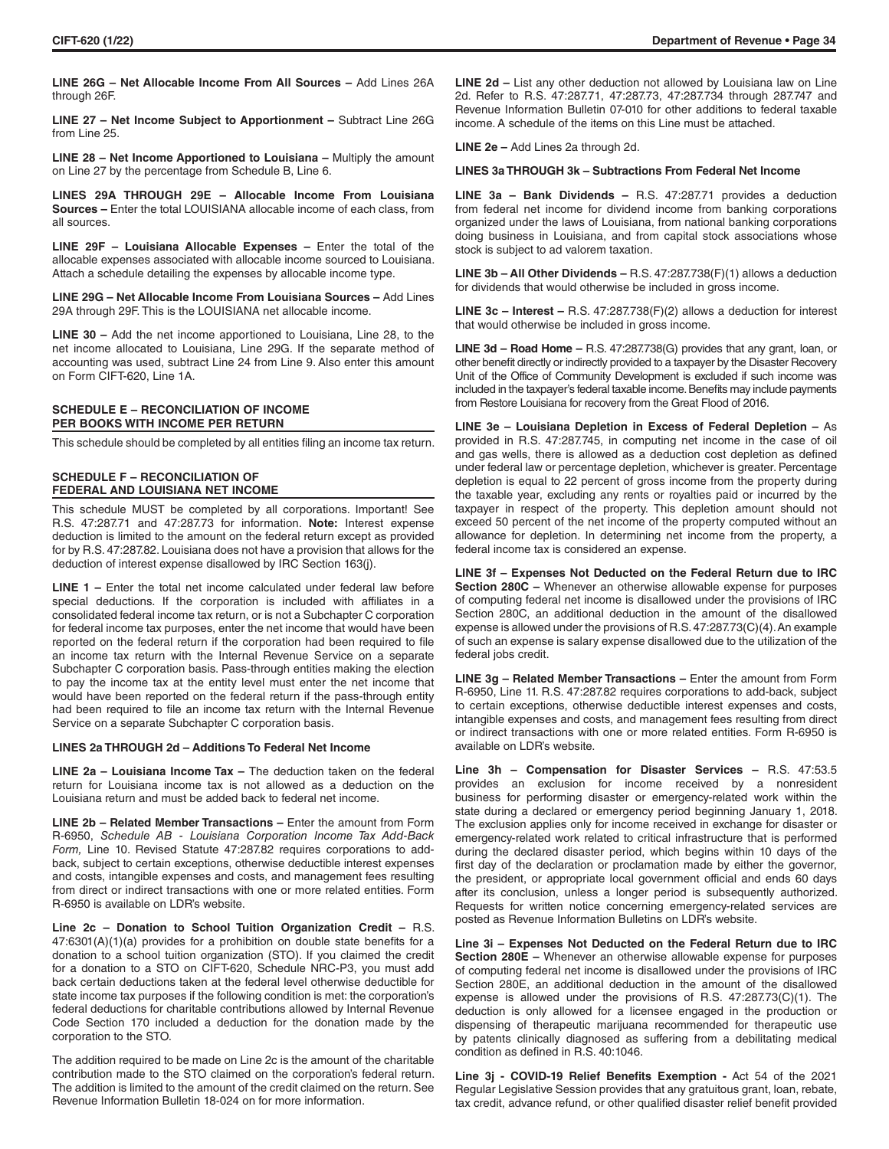**LINE 26G – Net Allocable Income From All Sources –** Add Lines 26A through 26F.

**LINE 27 – Net Income Subject to Apportionment –** Subtract Line 26G from Line 25.

**LINE 28 – Net Income Apportioned to Louisiana –** Multiply the amount on Line 27 by the percentage from Schedule B, Line 6.

**LINES 29A THROUGH 29E – Allocable Income From Louisiana Sources –** Enter the total LOUISIANA allocable income of each class, from all sources.

**LINE 29F - Louisiana Allocable Expenses - Enter the total of the** allocable expenses associated with allocable income sourced to Louisiana. Attach a schedule detailing the expenses by allocable income type.

**LINE 29G – Net Allocable Income From Louisiana Sources –** Add Lines 29A through 29F. This is the LOUISIANA net allocable income.

**LINE 30 –** Add the net income apportioned to Louisiana, Line 28, to the net income allocated to Louisiana, Line 29G. If the separate method of accounting was used, subtract Line 24 from Line 9. Also enter this amount on Form CIFT-620, Line 1A.

# **SCHEDULE E – RECONCILIATION OF INCOME PER BOOKS WITH INCOME PER RETURN**

This schedule should be completed by all entities filing an income tax return.

# **SCHEDULE F – RECONCILIATION OF FEDERAL AND LOUISIANA NET INCOME**

This schedule MUST be completed by all corporations. Important! See R.S. 47:287.71 and 47:287.73 for information. **Note:** Interest expense deduction is limited to the amount on the federal return except as provided for by R.S. 47:287.82. Louisiana does not have a provision that allows for the deduction of interest expense disallowed by IRC Section 163(j).

LINE 1 – Enter the total net income calculated under federal law before special deductions. If the corporation is included with affiliates in a consolidated federal income tax return, or is not a Subchapter C corporation for federal income tax purposes, enter the net income that would have been reported on the federal return if the corporation had been required to file an income tax return with the Internal Revenue Service on a separate Subchapter C corporation basis. Pass-through entities making the election to pay the income tax at the entity level must enter the net income that would have been reported on the federal return if the pass-through entity had been required to file an income tax return with the Internal Revenue Service on a separate Subchapter C corporation basis.

#### **LINES 2a THROUGH 2d – Additions To Federal Net Income**

**LINE 2a – Louisiana Income Tax –** The deduction taken on the federal return for Louisiana income tax is not allowed as a deduction on the Louisiana return and must be added back to federal net income.

**LINE 2b - Related Member Transactions - Enter the amount from Form** R-6950, *Schedule AB - Louisiana Corporation Income Tax Add-Back Form,* Line 10. Revised Statute 47:287.82 requires corporations to addback, subject to certain exceptions, otherwise deductible interest expenses and costs, intangible expenses and costs, and management fees resulting from direct or indirect transactions with one or more related entities. Form R-6950 is available on LDR's website.

**Line 2c – Donation to School Tuition Organization Credit –** R.S. 47:6301(A)(1)(a) provides for a prohibition on double state benefits for a donation to a school tuition organization (STO). If you claimed the credit for a donation to a STO on CIFT-620, Schedule NRC-P3, you must add back certain deductions taken at the federal level otherwise deductible for state income tax purposes if the following condition is met: the corporation's federal deductions for charitable contributions allowed by Internal Revenue Code Section 170 included a deduction for the donation made by the corporation to the STO.

The addition required to be made on Line 2c is the amount of the charitable contribution made to the STO claimed on the corporation's federal return. The addition is limited to the amount of the credit claimed on the return. See Revenue Information Bulletin 18-024 on for more information.

**LINE 2d –** List any other deduction not allowed by Louisiana law on Line 2d. Refer to R.S. 47:287.71, 47:287.73, 47:287.734 through 287.747 and Revenue Information Bulletin 07-010 for other additions to federal taxable income. A schedule of the items on this Line must be attached.

**LINE 2e –** Add Lines 2a through 2d.

#### **LINES 3a THROUGH 3k – Subtractions From Federal Net Income**

**LINE 3a – Bank Dividends –** R.S. 47:287.71 provides a deduction from federal net income for dividend income from banking corporations organized under the laws of Louisiana, from national banking corporations doing business in Louisiana, and from capital stock associations whose stock is subject to ad valorem taxation.

**LINE 3b – All Other Dividends –** R.S. 47:287.738(F)(1) allows a deduction for dividends that would otherwise be included in gross income.

**LINE 3c – Interest –** R.S. 47:287.738(F)(2) allows a deduction for interest that would otherwise be included in gross income.

**LINE 3d – Road Home –** R.S. 47:287.738(G) provides that any grant, loan, or other benefit directly or indirectly provided to a taxpayer by the Disaster Recovery Unit of the Office of Community Development is excluded if such income was included in the taxpayer's federal taxable income. Benefits may include payments from Restore Louisiana for recovery from the Great Flood of 2016.

**LINE 3e – Louisiana Depletion in Excess of Federal Depletion –** As provided in R.S. 47:287.745, in computing net income in the case of oil and gas wells, there is allowed as a deduction cost depletion as defined under federal law or percentage depletion, whichever is greater. Percentage depletion is equal to 22 percent of gross income from the property during the taxable year, excluding any rents or royalties paid or incurred by the taxpayer in respect of the property. This depletion amount should not exceed 50 percent of the net income of the property computed without an allowance for depletion. In determining net income from the property, a federal income tax is considered an expense.

**LINE 3f – Expenses Not Deducted on the Federal Return due to IRC Section 280C –** Whenever an otherwise allowable expense for purposes of computing federal net income is disallowed under the provisions of IRC Section 280C, an additional deduction in the amount of the disallowed expense is allowed under the provisions of R.S. 47:287.73(C)(4). An example of such an expense is salary expense disallowed due to the utilization of the federal jobs credit.

**LINE 3g – Related Member Transactions –** Enter the amount from Form R-6950, Line 11. R.S. 47:287.82 requires corporations to add-back, subject to certain exceptions, otherwise deductible interest expenses and costs, intangible expenses and costs, and management fees resulting from direct or indirect transactions with one or more related entities. Form R-6950 is available on LDR's website.

**Line 3h – Compensation for Disaster Services –** R.S. 47:53.5 provides an exclusion for income received by a nonresident business for performing disaster or emergency-related work within the state during a declared or emergency period beginning January 1, 2018. The exclusion applies only for income received in exchange for disaster or emergency-related work related to critical infrastructure that is performed during the declared disaster period, which begins within 10 days of the first day of the declaration or proclamation made by either the governor, the president, or appropriate local government official and ends 60 days after its conclusion, unless a longer period is subsequently authorized. Requests for written notice concerning emergency-related services are posted as Revenue Information Bulletins on LDR's website.

**Line 3i – Expenses Not Deducted on the Federal Return due to IRC Section 280E –** Whenever an otherwise allowable expense for purposes of computing federal net income is disallowed under the provisions of IRC Section 280E, an additional deduction in the amount of the disallowed expense is allowed under the provisions of R.S. 47:287.73(C)(1). The deduction is only allowed for a licensee engaged in the production or dispensing of therapeutic marijuana recommended for therapeutic use by patents clinically diagnosed as suffering from a debilitating medical condition as defined in R.S. 40:1046.

**Line 3j - COVID-19 Relief Benefits Exemption -** Act 54 of the 2021 Regular Legislative Session provides that any gratuitous grant, loan, rebate, tax credit, advance refund, or other qualified disaster relief benefit provided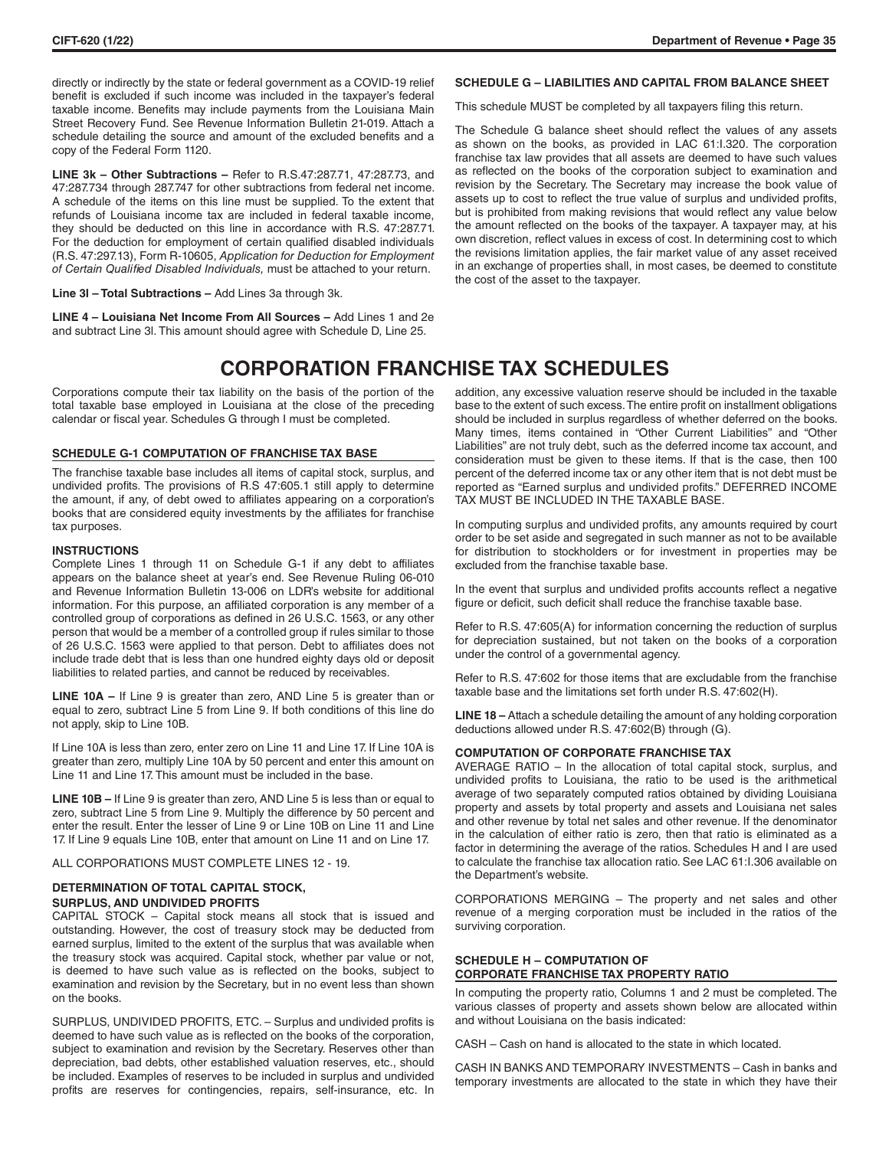directly or indirectly by the state or federal government as a COVID-19 relief benefit is excluded if such income was included in the taxpayer's federal taxable income. Benefits may include payments from the Louisiana Main Street Recovery Fund. See Revenue Information Bulletin 21-019. Attach a schedule detailing the source and amount of the excluded benefits and a copy of the Federal Form 1120.

**LINE 3k – Other Subtractions –** Refer to R.S.47:287.71, 47:287.73, and 47:287.734 through 287.747 for other subtractions from federal net income. A schedule of the items on this line must be supplied. To the extent that refunds of Louisiana income tax are included in federal taxable income, they should be deducted on this line in accordance with R.S. 47:287.71. For the deduction for employment of certain qualified disabled individuals (R.S. 47:297.13), Form R-10605, *Application for Deduction for Employment of Certain Qualified Disabled Individuals,* must be attached to your return.

**Line 3l – Total Subtractions –** Add Lines 3a through 3k.

**LINE 4 – Louisiana Net Income From All Sources –** Add Lines 1 and 2e and subtract Line 3l. This amount should agree with Schedule D, Line 25.

#### **SCHEDULE G – LIABILITIES AND CAPITAL FROM BALANCE SHEET**

This schedule MUST be completed by all taxpayers filing this return.

The Schedule G balance sheet should reflect the values of any assets as shown on the books, as provided in LAC 61:I.320. The corporation franchise tax law provides that all assets are deemed to have such values as reflected on the books of the corporation subject to examination and revision by the Secretary. The Secretary may increase the book value of assets up to cost to reflect the true value of surplus and undivided profits, but is prohibited from making revisions that would reflect any value below the amount reflected on the books of the taxpayer. A taxpayer may, at his own discretion, reflect values in excess of cost. In determining cost to which the revisions limitation applies, the fair market value of any asset received in an exchange of properties shall, in most cases, be deemed to constitute the cost of the asset to the taxpayer.

# **CORPORATION FRANCHISE TAX SCHEDULES**

Corporations compute their tax liability on the basis of the portion of the total taxable base employed in Louisiana at the close of the preceding calendar or fiscal year. Schedules G through I must be completed.

# **SCHEDULE G-1 COMPUTATION OF FRANCHISE TAX BASE**

The franchise taxable base includes all items of capital stock, surplus, and undivided profits. The provisions of R.S 47:605.1 still apply to determine the amount, if any, of debt owed to affiliates appearing on a corporation's books that are considered equity investments by the affiliates for franchise tax purposes.

#### **INSTRUCTIONS**

Complete Lines 1 through 11 on Schedule G-1 if any debt to affiliates appears on the balance sheet at year's end. See Revenue Ruling 06-010 and Revenue Information Bulletin 13-006 on LDR's website for additional information. For this purpose, an affiliated corporation is any member of a controlled group of corporations as defined in 26 U.S.C. 1563, or any other person that would be a member of a controlled group if rules similar to those of 26 U.S.C. 1563 were applied to that person. Debt to affiliates does not include trade debt that is less than one hundred eighty days old or deposit liabilities to related parties, and cannot be reduced by receivables.

**LINE 10A –** If Line 9 is greater than zero, AND Line 5 is greater than or equal to zero, subtract Line 5 from Line 9. If both conditions of this line do not apply, skip to Line 10B.

If Line 10A is less than zero, enter zero on Line 11 and Line 17. If Line 10A is greater than zero, multiply Line 10A by 50 percent and enter this amount on Line 11 and Line 17. This amount must be included in the base.

**LINE 10B –** If Line 9 is greater than zero, AND Line 5 is less than or equal to zero, subtract Line 5 from Line 9. Multiply the difference by 50 percent and enter the result. Enter the lesser of Line 9 or Line 10B on Line 11 and Line 17. If Line 9 equals Line 10B, enter that amount on Line 11 and on Line 17.

ALL CORPORATIONS MUST COMPLETE LINES 12 - 19.

## **DETERMINATION OF TOTAL CAPITAL STOCK, SURPLUS, AND UNDIVIDED PROFITS**

CAPITAL STOCK – Capital stock means all stock that is issued and outstanding. However, the cost of treasury stock may be deducted from earned surplus, limited to the extent of the surplus that was available when the treasury stock was acquired. Capital stock, whether par value or not, is deemed to have such value as is reflected on the books, subject to examination and revision by the Secretary, but in no event less than shown on the books.

SURPLUS, UNDIVIDED PROFITS, ETC. – Surplus and undivided profits is deemed to have such value as is reflected on the books of the corporation, subject to examination and revision by the Secretary. Reserves other than depreciation, bad debts, other established valuation reserves, etc., should be included. Examples of reserves to be included in surplus and undivided profits are reserves for contingencies, repairs, self-insurance, etc. In

addition, any excessive valuation reserve should be included in the taxable

base to the extent of such excess. The entire profit on installment obligations should be included in surplus regardless of whether deferred on the books. Many times, items contained in "Other Current Liabilities" and "Other Liabilities" are not truly debt, such as the deferred income tax account, and consideration must be given to these items. If that is the case, then 100 percent of the deferred income tax or any other item that is not debt must be reported as "Earned surplus and undivided profits." DEFERRED INCOME TAX MUST BE INCLUDED IN THE TAXABLE BASE.

In computing surplus and undivided profits, any amounts required by court order to be set aside and segregated in such manner as not to be available for distribution to stockholders or for investment in properties may be excluded from the franchise taxable base.

In the event that surplus and undivided profits accounts reflect a negative figure or deficit, such deficit shall reduce the franchise taxable base.

Refer to R.S. 47:605(A) for information concerning the reduction of surplus for depreciation sustained, but not taken on the books of a corporation under the control of a governmental agency.

Refer to R.S. 47:602 for those items that are excludable from the franchise taxable base and the limitations set forth under R.S. 47:602(H).

**LINE 18 –** Attach a schedule detailing the amount of any holding corporation deductions allowed under R.S. 47:602(B) through (G).

#### **COMPUTATION OF CORPORATE FRANCHISE TAX**

AVERAGE RATIO – In the allocation of total capital stock, surplus, and undivided profits to Louisiana, the ratio to be used is the arithmetical average of two separately computed ratios obtained by dividing Louisiana property and assets by total property and assets and Louisiana net sales and other revenue by total net sales and other revenue. If the denominator in the calculation of either ratio is zero, then that ratio is eliminated as a factor in determining the average of the ratios. Schedules H and I are used to calculate the franchise tax allocation ratio. See LAC 61:I.306 available on the Department's website.

CORPORATIONS MERGING – The property and net sales and other revenue of a merging corporation must be included in the ratios of the surviving corporation.

#### **SCHEDULE H – COMPUTATION OF CORPORATE FRANCHISE TAX PROPERTY RATIO**

In computing the property ratio, Columns 1 and 2 must be completed. The various classes of property and assets shown below are allocated within and without Louisiana on the basis indicated:

CASH – Cash on hand is allocated to the state in which located.

CASH IN BANKS AND TEMPORARY INVESTMENTS – Cash in banks and temporary investments are allocated to the state in which they have their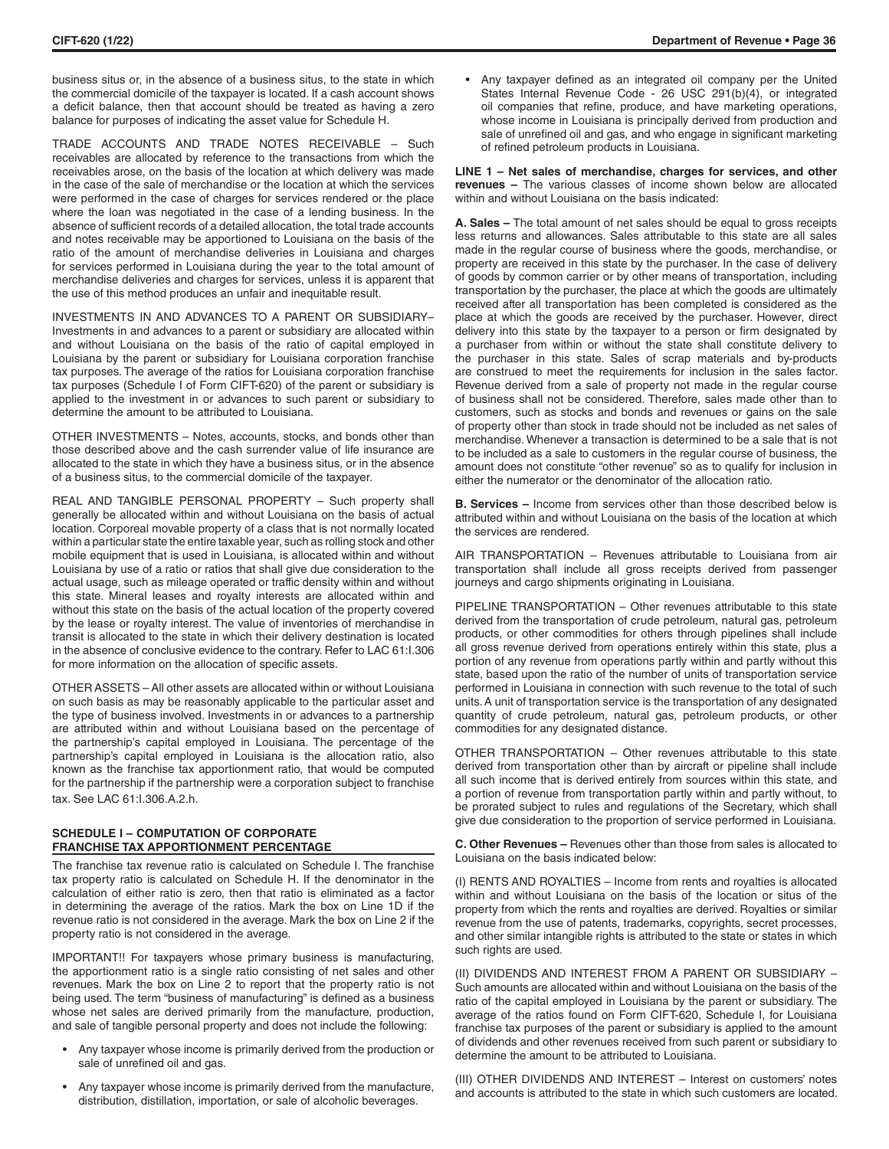business situs or, in the absence of a business situs, to the state in which the commercial domicile of the taxpayer is located. If a cash account shows a deficit balance, then that account should be treated as having a zero balance for purposes of indicating the asset value for Schedule H.

TRADE ACCOUNTS AND TRADE NOTES RECEIVABLE – Such receivables are allocated by reference to the transactions from which the receivables arose, on the basis of the location at which delivery was made in the case of the sale of merchandise or the location at which the services were performed in the case of charges for services rendered or the place where the loan was negotiated in the case of a lending business. In the absence of sufficient records of a detailed allocation, the total trade accounts and notes receivable may be apportioned to Louisiana on the basis of the ratio of the amount of merchandise deliveries in Louisiana and charges for services performed in Louisiana during the year to the total amount of merchandise deliveries and charges for services, unless it is apparent that the use of this method produces an unfair and inequitable result.

INVESTMENTS IN AND ADVANCES TO A PARENT OR SUBSIDIARY– Investments in and advances to a parent or subsidiary are allocated within and without Louisiana on the basis of the ratio of capital employed in Louisiana by the parent or subsidiary for Louisiana corporation franchise tax purposes. The average of the ratios for Louisiana corporation franchise tax purposes (Schedule I of Form CIFT-620) of the parent or subsidiary is applied to the investment in or advances to such parent or subsidiary to determine the amount to be attributed to Louisiana.

OTHER INVESTMENTS – Notes, accounts, stocks, and bonds other than those described above and the cash surrender value of life insurance are allocated to the state in which they have a business situs, or in the absence of a business situs, to the commercial domicile of the taxpayer.

REAL AND TANGIBLE PERSONAL PROPERTY – Such property shall generally be allocated within and without Louisiana on the basis of actual location. Corporeal movable property of a class that is not normally located within a particular state the entire taxable year, such as rolling stock and other mobile equipment that is used in Louisiana, is allocated within and without Louisiana by use of a ratio or ratios that shall give due consideration to the actual usage, such as mileage operated or traffic density within and without this state. Mineral leases and royalty interests are allocated within and without this state on the basis of the actual location of the property covered by the lease or royalty interest. The value of inventories of merchandise in transit is allocated to the state in which their delivery destination is located in the absence of conclusive evidence to the contrary. Refer to LAC 61:I.306 for more information on the allocation of specific assets.

OTHER ASSETS – All other assets are allocated within or without Louisiana on such basis as may be reasonably applicable to the particular asset and the type of business involved. Investments in or advances to a partnership are attributed within and without Louisiana based on the percentage of the partnership's capital employed in Louisiana. The percentage of the partnership's capital employed in Louisiana is the allocation ratio, also known as the franchise tax apportionment ratio, that would be computed for the partnership if the partnership were a corporation subject to franchise tax. See LAC 61:I.306.A.2.h.

#### **SCHEDULE I – COMPUTATION OF CORPORATE FRANCHISE TAX APPORTIONMENT PERCENTAGE**

The franchise tax revenue ratio is calculated on Schedule I. The franchise tax property ratio is calculated on Schedule H. If the denominator in the calculation of either ratio is zero, then that ratio is eliminated as a factor in determining the average of the ratios. Mark the box on Line 1D if the revenue ratio is not considered in the average. Mark the box on Line 2 if the property ratio is not considered in the average.

IMPORTANT!! For taxpayers whose primary business is manufacturing, the apportionment ratio is a single ratio consisting of net sales and other revenues. Mark the box on Line 2 to report that the property ratio is not being used. The term "business of manufacturing" is defined as a business whose net sales are derived primarily from the manufacture, production, and sale of tangible personal property and does not include the following:

- Any taxpayer whose income is primarily derived from the production or sale of unrefined oil and gas.
- Any taxpayer whose income is primarily derived from the manufacture, distribution, distillation, importation, or sale of alcoholic beverages.

• Any taxpayer defined as an integrated oil company per the United States Internal Revenue Code - 26 USC 291(b)(4), or integrated oil companies that refine, produce, and have marketing operations, whose income in Louisiana is principally derived from production and sale of unrefined oil and gas, and who engage in significant marketing of refined petroleum products in Louisiana.

**LINE 1 – Net sales of merchandise, charges for services, and other revenues –** The various classes of income shown below are allocated within and without Louisiana on the basis indicated:

**A. Sales –** The total amount of net sales should be equal to gross receipts less returns and allowances. Sales attributable to this state are all sales made in the regular course of business where the goods, merchandise, or property are received in this state by the purchaser. In the case of delivery of goods by common carrier or by other means of transportation, including transportation by the purchaser, the place at which the goods are ultimately received after all transportation has been completed is considered as the place at which the goods are received by the purchaser. However, direct delivery into this state by the taxpayer to a person or firm designated by a purchaser from within or without the state shall constitute delivery to the purchaser in this state. Sales of scrap materials and by-products are construed to meet the requirements for inclusion in the sales factor. Revenue derived from a sale of property not made in the regular course of business shall not be considered. Therefore, sales made other than to customers, such as stocks and bonds and revenues or gains on the sale of property other than stock in trade should not be included as net sales of merchandise. Whenever a transaction is determined to be a sale that is not to be included as a sale to customers in the regular course of business, the amount does not constitute "other revenue" so as to qualify for inclusion in either the numerator or the denominator of the allocation ratio.

**B. Services –** Income from services other than those described below is attributed within and without Louisiana on the basis of the location at which the services are rendered.

AIR TRANSPORTATION – Revenues attributable to Louisiana from air transportation shall include all gross receipts derived from passenger journeys and cargo shipments originating in Louisiana.

PIPELINE TRANSPORTATION – Other revenues attributable to this state derived from the transportation of crude petroleum, natural gas, petroleum products, or other commodities for others through pipelines shall include all gross revenue derived from operations entirely within this state, plus a portion of any revenue from operations partly within and partly without this state, based upon the ratio of the number of units of transportation service performed in Louisiana in connection with such revenue to the total of such units. A unit of transportation service is the transportation of any designated quantity of crude petroleum, natural gas, petroleum products, or other commodities for any designated distance.

OTHER TRANSPORTATION – Other revenues attributable to this state derived from transportation other than by aircraft or pipeline shall include all such income that is derived entirely from sources within this state, and a portion of revenue from transportation partly within and partly without, to be prorated subject to rules and regulations of the Secretary, which shall give due consideration to the proportion of service performed in Louisiana.

**C. Other Revenues –** Revenues other than those from sales is allocated to Louisiana on the basis indicated below:

(I) RENTS AND ROYALTIES – Income from rents and royalties is allocated within and without Louisiana on the basis of the location or situs of the property from which the rents and royalties are derived. Royalties or similar revenue from the use of patents, trademarks, copyrights, secret processes, and other similar intangible rights is attributed to the state or states in which such rights are used.

(II) DIVIDENDS AND INTEREST FROM A PARENT OR SUBSIDIARY – Such amounts are allocated within and without Louisiana on the basis of the ratio of the capital employed in Louisiana by the parent or subsidiary. The average of the ratios found on Form CIFT-620, Schedule I, for Louisiana franchise tax purposes of the parent or subsidiary is applied to the amount of dividends and other revenues received from such parent or subsidiary to determine the amount to be attributed to Louisiana.

(III) OTHER DIVIDENDS AND INTEREST – Interest on customers' notes and accounts is attributed to the state in which such customers are located.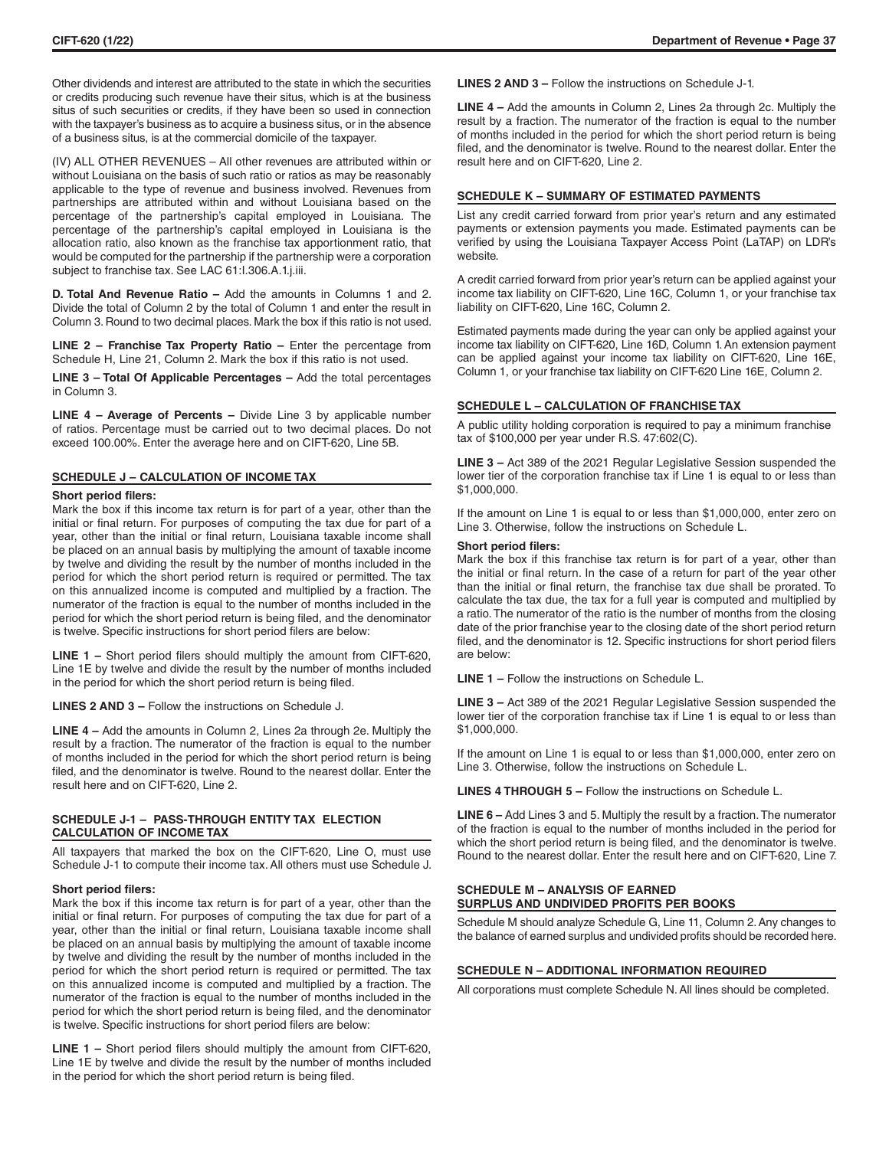Other dividends and interest are attributed to the state in which the securities or credits producing such revenue have their situs, which is at the business situs of such securities or credits, if they have been so used in connection with the taxpayer's business as to acquire a business situs, or in the absence of a business situs, is at the commercial domicile of the taxpayer.

(IV) ALL OTHER REVENUES – All other revenues are attributed within or without Louisiana on the basis of such ratio or ratios as may be reasonably applicable to the type of revenue and business involved. Revenues from partnerships are attributed within and without Louisiana based on the percentage of the partnership's capital employed in Louisiana. The percentage of the partnership's capital employed in Louisiana is the allocation ratio, also known as the franchise tax apportionment ratio, that would be computed for the partnership if the partnership were a corporation subject to franchise tax. See LAC 61:I.306.A.1.j.iii.

**D. Total And Revenue Ratio –** Add the amounts in Columns 1 and 2. Divide the total of Column 2 by the total of Column 1 and enter the result in Column 3. Round to two decimal places. Mark the box if this ratio is not used.

**LINE 2 – Franchise Tax Property Ratio –** Enter the percentage from Schedule H, Line 21, Column 2. Mark the box if this ratio is not used.

**LINE 3 – Total Of Applicable Percentages –** Add the total percentages in Column 3.

**LINE 4 – Average of Percents –** Divide Line 3 by applicable number of ratios. Percentage must be carried out to two decimal places. Do not exceed 100.00%. Enter the average here and on CIFT-620, Line 5B.

# **SCHEDULE J – CALCULATION OF INCOME TAX**

#### **Short period filers:**

Mark the box if this income tax return is for part of a year, other than the initial or final return. For purposes of computing the tax due for part of a year, other than the initial or final return, Louisiana taxable income shall be placed on an annual basis by multiplying the amount of taxable income by twelve and dividing the result by the number of months included in the period for which the short period return is required or permitted. The tax on this annualized income is computed and multiplied by a fraction. The numerator of the fraction is equal to the number of months included in the period for which the short period return is being filed, and the denominator is twelve. Specific instructions for short period filers are below:

**LINE 1 –** Short period filers should multiply the amount from CIFT-620, Line 1E by twelve and divide the result by the number of months included in the period for which the short period return is being filed.

**LINES 2 AND 3 –** Follow the instructions on Schedule J.

**LINE 4 –** Add the amounts in Column 2, Lines 2a through 2e. Multiply the result by a fraction. The numerator of the fraction is equal to the number of months included in the period for which the short period return is being filed, and the denominator is twelve. Round to the nearest dollar. Enter the result here and on CIFT-620, Line 2.

# **SCHEDULE J-1 – PASS-THROUGH ENTITY TAX ELECTION CALCULATION OF INCOME TAX**

All taxpayers that marked the box on the CIFT-620, Line O, must use Schedule J-1 to compute their income tax. All others must use Schedule J.

#### **Short period filers:**

Mark the box if this income tax return is for part of a year, other than the initial or final return. For purposes of computing the tax due for part of a year, other than the initial or final return, Louisiana taxable income shall be placed on an annual basis by multiplying the amount of taxable income by twelve and dividing the result by the number of months included in the period for which the short period return is required or permitted. The tax on this annualized income is computed and multiplied by a fraction. The numerator of the fraction is equal to the number of months included in the period for which the short period return is being filed, and the denominator is twelve. Specific instructions for short period filers are below:

**LINE 1 –** Short period filers should multiply the amount from CIFT-620, Line 1E by twelve and divide the result by the number of months included in the period for which the short period return is being filed.

**LINES 2 AND 3 –** Follow the instructions on Schedule J-1.

**LINE 4 –** Add the amounts in Column 2, Lines 2a through 2c. Multiply the result by a fraction. The numerator of the fraction is equal to the number of months included in the period for which the short period return is being filed, and the denominator is twelve. Round to the nearest dollar. Enter the result here and on CIFT-620, Line 2.

## **SCHEDULE K – SUMMARY OF ESTIMATED PAYMENTS**

List any credit carried forward from prior year's return and any estimated payments or extension payments you made. Estimated payments can be verified by using the Louisiana Taxpayer Access Point (LaTAP) on LDR's website*.*

A credit carried forward from prior year's return can be applied against your income tax liability on CIFT-620, Line 16C, Column 1, or your franchise tax liability on CIFT-620, Line 16C, Column 2.

Estimated payments made during the year can only be applied against your income tax liability on CIFT-620, Line 16D, Column 1. An extension payment can be applied against your income tax liability on CIFT-620, Line 16E, Column 1, or your franchise tax liability on CIFT-620 Line 16E, Column 2.

#### **SCHEDULE L – CALCULATION OF FRANCHISE TAX**

A public utility holding corporation is required to pay a minimum franchise tax of \$100,000 per year under R.S. 47:602(C).

**LINE 3 –** Act 389 of the 2021 Regular Legislative Session suspended the lower tier of the corporation franchise tax if Line 1 is equal to or less than \$1,000,000.

If the amount on Line 1 is equal to or less than \$1,000,000, enter zero on Line 3. Otherwise, follow the instructions on Schedule L.

#### **Short period filers:**

Mark the box if this franchise tax return is for part of a year, other than the initial or final return. In the case of a return for part of the year other than the initial or final return, the franchise tax due shall be prorated. To calculate the tax due, the tax for a full year is computed and multiplied by a ratio. The numerator of the ratio is the number of months from the closing date of the prior franchise year to the closing date of the short period return filed, and the denominator is 12. Specific instructions for short period filers are below:

**LINE 1 –** Follow the instructions on Schedule L.

**LINE 3 –** Act 389 of the 2021 Regular Legislative Session suspended the lower tier of the corporation franchise tax if Line 1 is equal to or less than \$1,000,000.

If the amount on Line 1 is equal to or less than \$1,000,000, enter zero on Line 3. Otherwise, follow the instructions on Schedule L.

**LINES 4 THROUGH 5 –** Follow the instructions on Schedule L.

**LINE 6 –** Add Lines 3 and 5. Multiply the result by a fraction. The numerator of the fraction is equal to the number of months included in the period for which the short period return is being filed, and the denominator is twelve. Round to the nearest dollar. Enter the result here and on CIFT-620, Line 7.

#### **SCHEDULE M – ANALYSIS OF EARNED SURPLUS AND UNDIVIDED PROFITS PER BOOKS**

Schedule M should analyze Schedule G, Line 11, Column 2. Any changes to the balance of earned surplus and undivided profits should be recorded here.

## **SCHEDULE N – ADDITIONAL INFORMATION REQUIRED**

All corporations must complete Schedule N. All lines should be completed.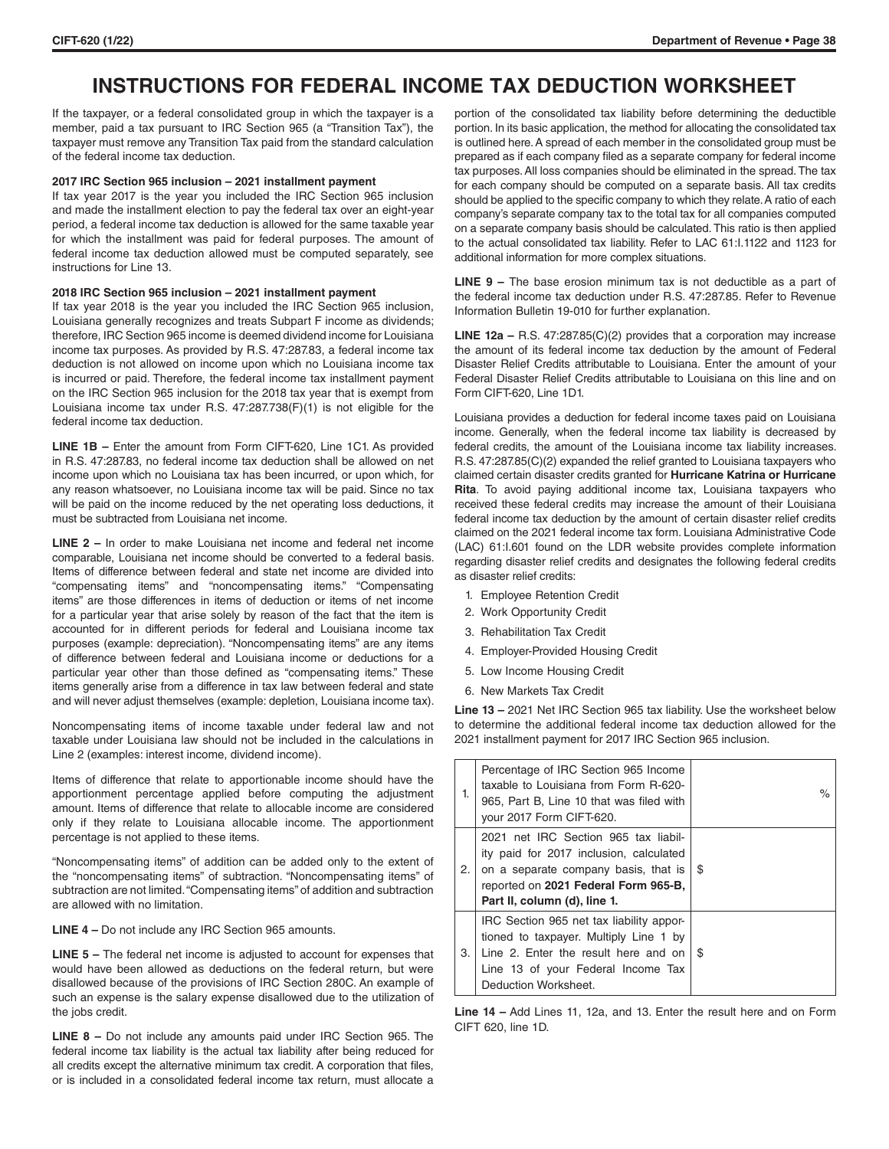# **INSTRUCTIONS FOR FEDERAL INCOME TAX DEDUCTION WORKSHEET**

If the taxpayer, or a federal consolidated group in which the taxpayer is a member, paid a tax pursuant to IRC Section 965 (a "Transition Tax"), the taxpayer must remove any Transition Tax paid from the standard calculation of the federal income tax deduction.

# **2017 IRC Section 965 inclusion – 2021 installment payment**

If tax year 2017 is the year you included the IRC Section 965 inclusion and made the installment election to pay the federal tax over an eight-year period, a federal income tax deduction is allowed for the same taxable year for which the installment was paid for federal purposes. The amount of federal income tax deduction allowed must be computed separately, see instructions for Line 13.

#### **2018 IRC Section 965 inclusion – 2021 installment payment**

If tax year 2018 is the year you included the IRC Section 965 inclusion, Louisiana generally recognizes and treats Subpart F income as dividends; therefore, IRC Section 965 income is deemed dividend income for Louisiana income tax purposes. As provided by R.S. 47:287.83, a federal income tax deduction is not allowed on income upon which no Louisiana income tax is incurred or paid. Therefore, the federal income tax installment payment on the IRC Section 965 inclusion for the 2018 tax year that is exempt from Louisiana income tax under R.S. 47:287.738(F)(1) is not eligible for the federal income tax deduction.

**LINE 1B –** Enter the amount from Form CIFT-620, Line 1C1. As provided in R.S. 47:287.83, no federal income tax deduction shall be allowed on net income upon which no Louisiana tax has been incurred, or upon which, for any reason whatsoever, no Louisiana income tax will be paid. Since no tax will be paid on the income reduced by the net operating loss deductions, it must be subtracted from Louisiana net income.

**LINE 2 –** In order to make Louisiana net income and federal net income comparable, Louisiana net income should be converted to a federal basis. Items of difference between federal and state net income are divided into "compensating items" and "noncompensating items." "Compensating items" are those differences in items of deduction or items of net income for a particular year that arise solely by reason of the fact that the item is accounted for in different periods for federal and Louisiana income tax purposes (example: depreciation). "Noncompensating items" are any items of difference between federal and Louisiana income or deductions for a particular year other than those defined as "compensating items." These items generally arise from a difference in tax law between federal and state and will never adjust themselves (example: depletion, Louisiana income tax).

Noncompensating items of income taxable under federal law and not taxable under Louisiana law should not be included in the calculations in Line 2 (examples: interest income, dividend income).

Items of difference that relate to apportionable income should have the apportionment percentage applied before computing the adjustment amount. Items of difference that relate to allocable income are considered only if they relate to Louisiana allocable income. The apportionment percentage is not applied to these items.

"Noncompensating items" of addition can be added only to the extent of the "noncompensating items" of subtraction. "Noncompensating items" of subtraction are not limited. "Compensating items" of addition and subtraction are allowed with no limitation.

**LINE 4 –** Do not include any IRC Section 965 amounts.

**LINE 5 –** The federal net income is adjusted to account for expenses that would have been allowed as deductions on the federal return, but were disallowed because of the provisions of IRC Section 280C. An example of such an expense is the salary expense disallowed due to the utilization of the jobs credit.

**LINE 8 –** Do not include any amounts paid under IRC Section 965. The federal income tax liability is the actual tax liability after being reduced for all credits except the alternative minimum tax credit. A corporation that files, or is included in a consolidated federal income tax return, must allocate a portion of the consolidated tax liability before determining the deductible portion. In its basic application, the method for allocating the consolidated tax is outlined here. A spread of each member in the consolidated group must be prepared as if each company filed as a separate company for federal income tax purposes. All loss companies should be eliminated in the spread. The tax for each company should be computed on a separate basis. All tax credits should be applied to the specific company to which they relate. A ratio of each company's separate company tax to the total tax for all companies computed on a separate company basis should be calculated. This ratio is then applied to the actual consolidated tax liability. Refer to LAC 61:I.1122 and 1123 for additional information for more complex situations.

**LINE 9 –** The base erosion minimum tax is not deductible as a part of the federal income tax deduction under R.S. 47:287.85. Refer to Revenue Information Bulletin 19-010 for further explanation.

**LINE 12a –** R.S. 47:287.85(C)(2) provides that a corporation may increase the amount of its federal income tax deduction by the amount of Federal Disaster Relief Credits attributable to Louisiana. Enter the amount of your Federal Disaster Relief Credits attributable to Louisiana on this line and on Form CIFT-620, Line 1D1.

Louisiana provides a deduction for federal income taxes paid on Louisiana income. Generally, when the federal income tax liability is decreased by federal credits, the amount of the Louisiana income tax liability increases. R.S. 47:287.85(C)(2) expanded the relief granted to Louisiana taxpayers who claimed certain disaster credits granted for **Hurricane Katrina or Hurricane Rita**. To avoid paying additional income tax, Louisiana taxpayers who received these federal credits may increase the amount of their Louisiana federal income tax deduction by the amount of certain disaster relief credits claimed on the 2021 federal income tax form. Louisiana Administrative Code (LAC) 61:I.601 found on the LDR website provides complete information regarding disaster relief credits and designates the following federal credits as disaster relief credits:

- 1. Employee Retention Credit
- 2. Work Opportunity Credit
- 3. Rehabilitation Tax Credit
- 4. Employer-Provided Housing Credit
- 5. Low Income Housing Credit
- 6. New Markets Tax Credit

**Line 13 –** 2021 Net IRC Section 965 tax liability. Use the worksheet below to determine the additional federal income tax deduction allowed for the 2021 installment payment for 2017 IRC Section 965 inclusion.

| 1. | Percentage of IRC Section 965 Income<br>taxable to Louisiana from Form R-620-<br>965, Part B, Line 10 that was filed with<br>your 2017 Form CIFT-620.                                           | $\%$ |
|----|-------------------------------------------------------------------------------------------------------------------------------------------------------------------------------------------------|------|
| 2. | 2021 net IRC Section 965 tax liabil-<br>ity paid for 2017 inclusion, calculated<br>on a separate company basis, that is<br>reported on 2021 Federal Form 965-B,<br>Part II, column (d), line 1. | \$   |
| З. | IRC Section 965 net tax liability appor-<br>tioned to taxpayer. Multiply Line 1 by<br>Line 2. Enter the result here and on<br>Line 13 of your Federal Income Tax<br>Deduction Worksheet.        | \$.  |

**Line 14 –** Add Lines 11, 12a, and 13. Enter the result here and on Form CIFT 620, line 1D.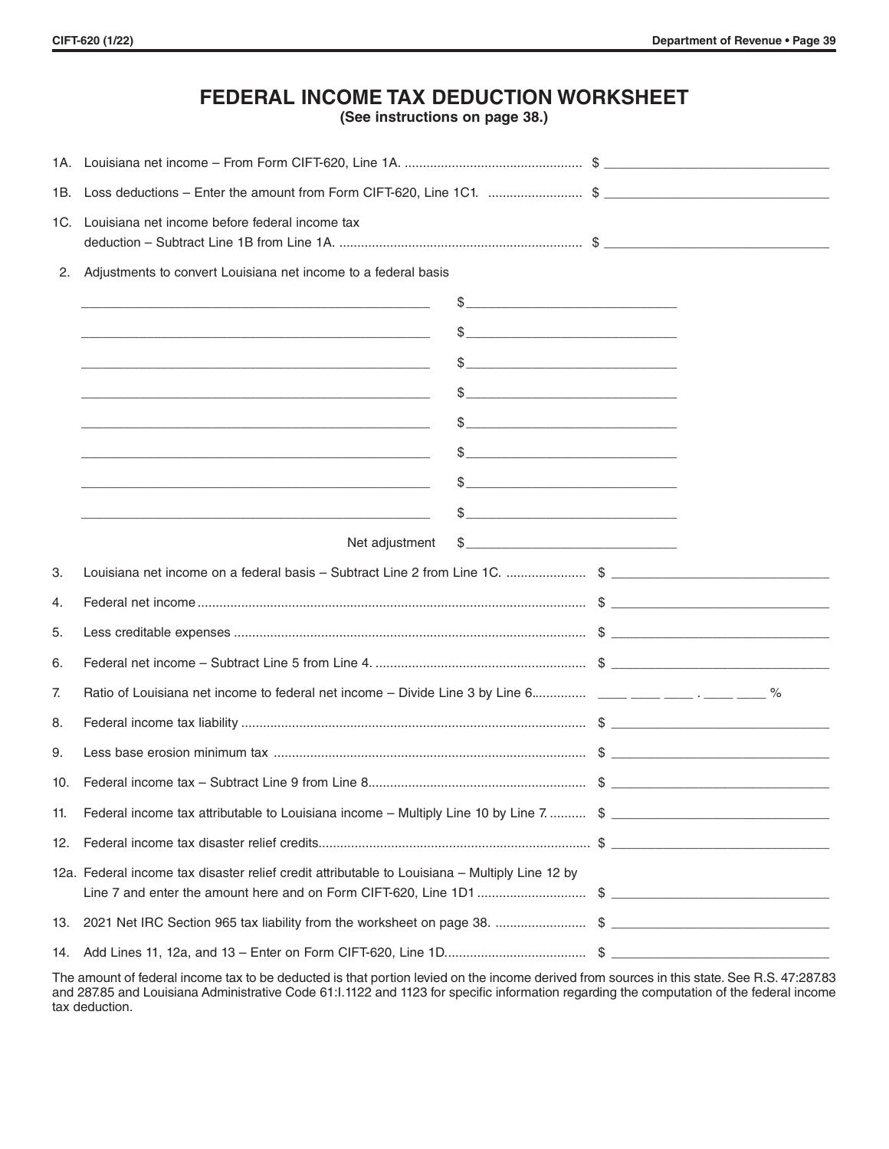# **FEDERAL INCOME TAX DEDUCTION WORKSHEET**

**(See instructions on page 38.)**

| 1B. |                                                                                                                      |                   |  |  |  |  |
|-----|----------------------------------------------------------------------------------------------------------------------|-------------------|--|--|--|--|
| 1C. | Louisiana net income before federal income tax                                                                       |                   |  |  |  |  |
| 2.  | Adjustments to convert Louisiana net income to a federal basis                                                       |                   |  |  |  |  |
|     | <u> 2000 - Andrea Andrew Maria (h. 1888).</u><br>2001 - Andrew Maria (h. 1888).                                      |                   |  |  |  |  |
|     | $\frac{1}{2}$<br><u> 1989 - Johann John Stein, fransk politik (f. 1989)</u>                                          |                   |  |  |  |  |
|     |                                                                                                                      | $\frac{1}{2}$     |  |  |  |  |
|     | <u> 1989 - Jan Samuel Barbara, margaret eta idazlea (h. 1989).</u>                                                   | $\mathcal{S}$     |  |  |  |  |
|     | <u> 2000 - Andrea Andrewski, politik američki profesor (d. 1982)</u>                                                 |                   |  |  |  |  |
|     | <u> 1980 - Johann Stein, marwolaethau a bhann an t-Amhair ann an t-Amhair an t-Amhair an t-Amhair an t-Amhair an</u> | $\frac{1}{2}$     |  |  |  |  |
|     |                                                                                                                      | $\frac{1}{2}$     |  |  |  |  |
|     | <u> 1989 - Jan Barnett, fransk politik (d. 1989)</u>                                                                 | $\frac{1}{2}$     |  |  |  |  |
|     |                                                                                                                      | Net adjustment \$ |  |  |  |  |
| 3.  | Louisiana net income on a federal basis - Subtract Line 2 from Line 1C. \$                                           |                   |  |  |  |  |
| 4.  |                                                                                                                      |                   |  |  |  |  |
| 5.  |                                                                                                                      |                   |  |  |  |  |
| 6.  |                                                                                                                      |                   |  |  |  |  |
| 7.  |                                                                                                                      |                   |  |  |  |  |
| 8.  |                                                                                                                      |                   |  |  |  |  |
| 9.  |                                                                                                                      |                   |  |  |  |  |
| 10. |                                                                                                                      |                   |  |  |  |  |
| 11. | Federal income tax attributable to Louisiana income – Multiply Line 10 by Line 7.  \$                                |                   |  |  |  |  |
|     |                                                                                                                      |                   |  |  |  |  |
|     | 12a. Federal income tax disaster relief credit attributable to Louisiana - Multiply Line 12 by                       |                   |  |  |  |  |
|     |                                                                                                                      |                   |  |  |  |  |
|     |                                                                                                                      |                   |  |  |  |  |

The amount of federal income tax to be deducted is that portion levied on the income derived from sources in this state. See R.S. 47:287.83 and 287.85 and Louisiana Administrative Code 61:I.1122 and 1123 for specific information regarding the computation of the federal income tax deduction.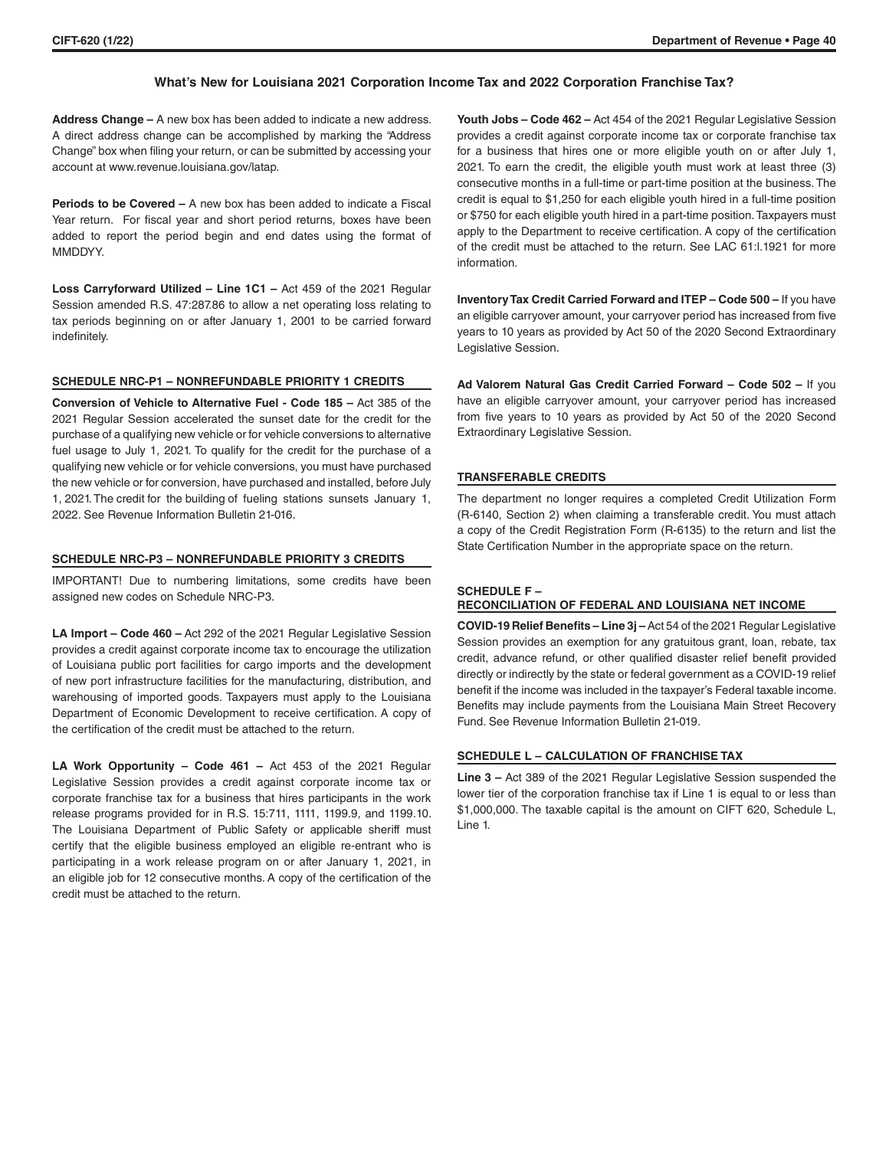# **What's New for Louisiana 2021 Corporation Income Tax and 2022 Corporation Franchise Tax?**

**Address Change –** A new box has been added to indicate a new address. A direct address change can be accomplished by marking the "Address Change" box when filing your return, or can be submitted by accessing your account at www.revenue.louisiana.gov/latap.

**Periods to be Covered –** A new box has been added to indicate a Fiscal Year return. For fiscal year and short period returns, boxes have been added to report the period begin and end dates using the format of **MMDDYY** 

**Loss Carryforward Utilized – Line 1C1 –** Act 459 of the 2021 Regular Session amended R.S. 47:287.86 to allow a net operating loss relating to tax periods beginning on or after January 1, 2001 to be carried forward indefinitely.

#### **SCHEDULE NRC-P1 – NONREFUNDABLE PRIORITY 1 CREDITS**

**Conversion of Vehicle to Alternative Fuel - Code 185 –** Act 385 of the 2021 Regular Session accelerated the sunset date for the credit for the purchase of a qualifying new vehicle or for vehicle conversions to alternative fuel usage to July 1, 2021. To qualify for the credit for the purchase of a qualifying new vehicle or for vehicle conversions, you must have purchased the new vehicle or for conversion, have purchased and installed, before July 1, 2021. The credit for the building of fueling stations sunsets January 1, 2022. See Revenue Information Bulletin 21-016.

# **SCHEDULE NRC-P3 – NONREFUNDABLE PRIORITY 3 CREDITS**

IMPORTANT! Due to numbering limitations, some credits have been assigned new codes on Schedule NRC-P3.

**LA Import – Code 460 –** Act 292 of the 2021 Regular Legislative Session provides a credit against corporate income tax to encourage the utilization of Louisiana public port facilities for cargo imports and the development of new port infrastructure facilities for the manufacturing, distribution, and warehousing of imported goods. Taxpayers must apply to the Louisiana Department of Economic Development to receive certification. A copy of the certification of the credit must be attached to the return.

**LA Work Opportunity – Code 461 –** Act 453 of the 2021 Regular Legislative Session provides a credit against corporate income tax or corporate franchise tax for a business that hires participants in the work release programs provided for in R.S. 15:711, 1111, 1199.9, and 1199.10. The Louisiana Department of Public Safety or applicable sheriff must certify that the eligible business employed an eligible re-entrant who is participating in a work release program on or after January 1, 2021, in an eligible job for 12 consecutive months. A copy of the certification of the credit must be attached to the return.

**Youth Jobs – Code 462 –** Act 454 of the 2021 Regular Legislative Session provides a credit against corporate income tax or corporate franchise tax for a business that hires one or more eligible youth on or after July 1, 2021. To earn the credit, the eligible youth must work at least three (3) consecutive months in a full-time or part-time position at the business. The credit is equal to \$1,250 for each eligible youth hired in a full-time position or \$750 for each eligible youth hired in a part-time position. Taxpayers must apply to the Department to receive certification. A copy of the certification of the credit must be attached to the return. See LAC 61:l.1921 for more information.

**Inventory Tax Credit Carried Forward and ITEP – Code 500 –** If you have an eligible carryover amount, your carryover period has increased from five years to 10 years as provided by Act 50 of the 2020 Second Extraordinary Legislative Session.

**Ad Valorem Natural Gas Credit Carried Forward – Code 502 –** If you have an eligible carryover amount, your carryover period has increased from five years to 10 years as provided by Act 50 of the 2020 Second Extraordinary Legislative Session.

#### **TRANSFERABLE CREDITS**

The department no longer requires a completed Credit Utilization Form (R-6140, Section 2) when claiming a transferable credit. You must attach a copy of the Credit Registration Form (R-6135) to the return and list the State Certification Number in the appropriate space on the return.

## **SCHEDULE F –**

# **RECONCILIATION OF FEDERAL AND LOUISIANA NET INCOME**

**COVID-19 Relief Benefits – Line 3j –** Act 54 of the 2021 Regular Legislative Session provides an exemption for any gratuitous grant, loan, rebate, tax credit, advance refund, or other qualified disaster relief benefit provided directly or indirectly by the state or federal government as a COVID-19 relief benefit if the income was included in the taxpayer's Federal taxable income. Benefits may include payments from the Louisiana Main Street Recovery Fund. See Revenue Information Bulletin 21-019.

# **SCHEDULE L – CALCULATION OF FRANCHISE TAX**

**Line 3 –** Act 389 of the 2021 Regular Legislative Session suspended the lower tier of the corporation franchise tax if Line 1 is equal to or less than \$1,000,000. The taxable capital is the amount on CIFT 620, Schedule L, Line 1.